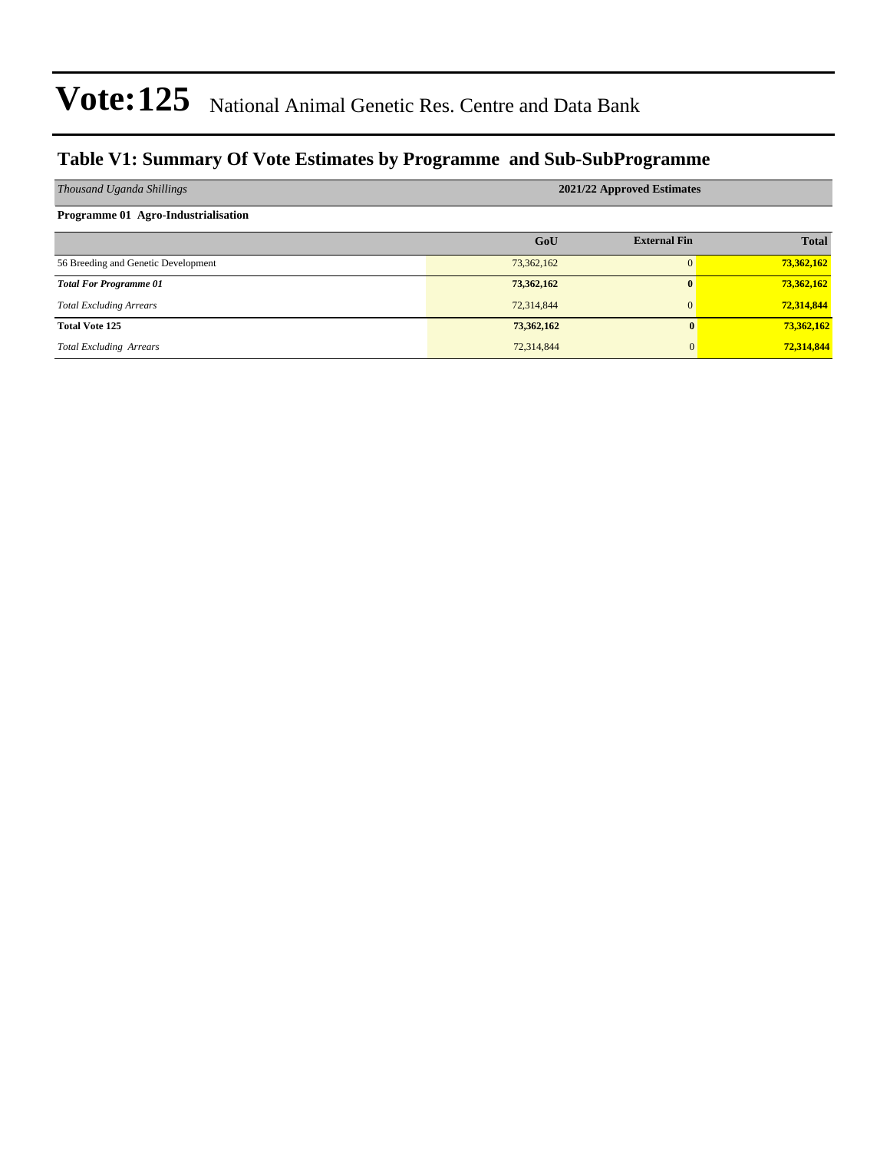### **Table V1: Summary Of Vote Estimates by Programme and Sub-SubProgramme**

| Thousand Uganda Shillings           | 2021/22 Approved Estimates |                     |              |  |  |  |  |  |  |
|-------------------------------------|----------------------------|---------------------|--------------|--|--|--|--|--|--|
| Programme 01 Agro-Industrialisation |                            |                     |              |  |  |  |  |  |  |
|                                     | GoU                        | <b>External Fin</b> | <b>Total</b> |  |  |  |  |  |  |
| 56 Breeding and Genetic Development | 73,362,162                 |                     | 73,362,162   |  |  |  |  |  |  |
| <b>Total For Programme 01</b>       | 73,362,162                 | $\mathbf{0}$        | 73,362,162   |  |  |  |  |  |  |
| <b>Total Excluding Arrears</b>      | 72,314,844                 | $\overline{0}$      | 72,314,844   |  |  |  |  |  |  |
| <b>Total Vote 125</b>               | 73,362,162                 | $\mathbf{0}$        | 73,362,162   |  |  |  |  |  |  |
| <b>Total Excluding Arrears</b>      | 72,314,844                 | $\overline{0}$      | 72,314,844   |  |  |  |  |  |  |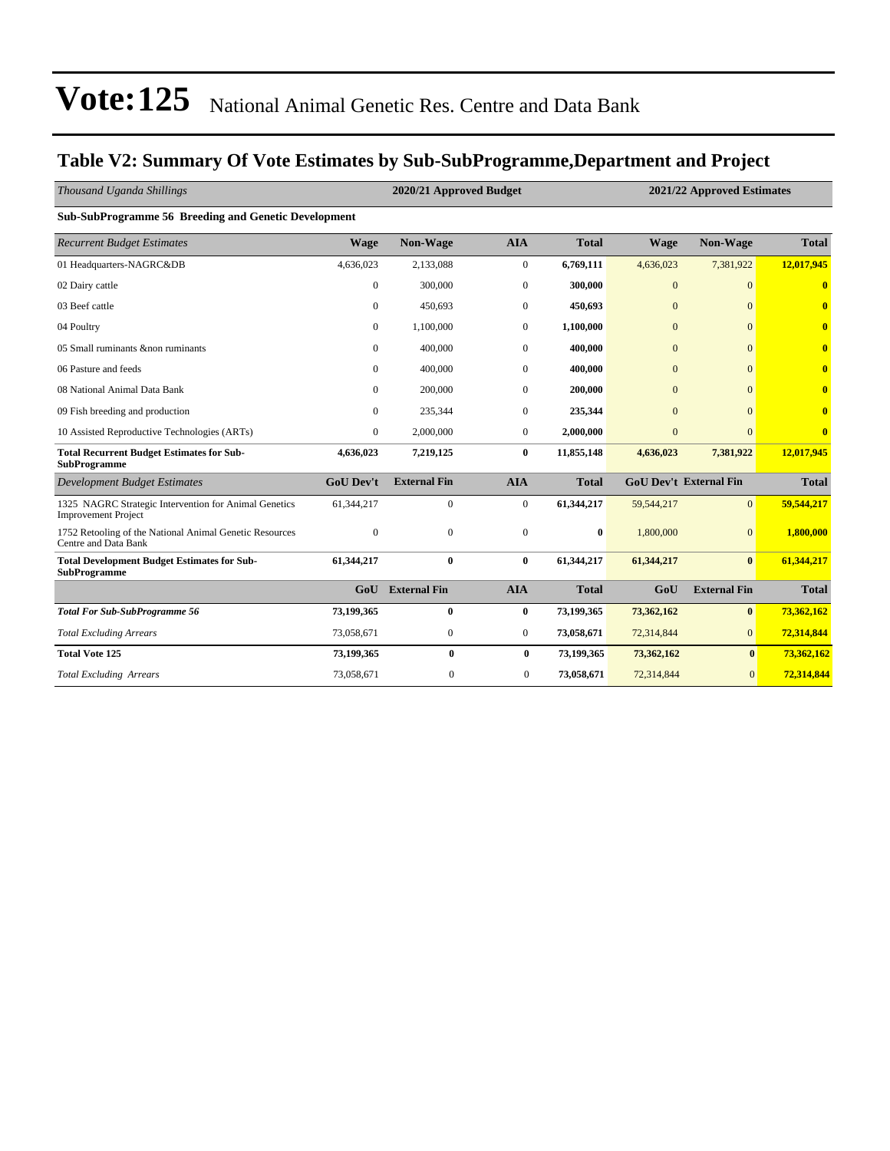### **Table V2: Summary Of Vote Estimates by Sub-SubProgramme,Department and Project**

| Thousand Uganda Shillings                                                           |                  | 2021/22 Approved Estimates |                  |              |                |                               |              |
|-------------------------------------------------------------------------------------|------------------|----------------------------|------------------|--------------|----------------|-------------------------------|--------------|
| Sub-SubProgramme 56 Breeding and Genetic Development                                |                  |                            |                  |              |                |                               |              |
| <b>Recurrent Budget Estimates</b>                                                   | <b>Wage</b>      | Non-Wage                   | <b>AIA</b>       | <b>Total</b> | <b>Wage</b>    | Non-Wage                      | <b>Total</b> |
| 01 Headquarters-NAGRC&DB                                                            | 4,636,023        | 2,133,088                  | $\mathbf{0}$     | 6,769,111    | 4,636,023      | 7,381,922                     | 12,017,945   |
| 02 Dairy cattle                                                                     | $\mathbf{0}$     | 300,000                    | $\boldsymbol{0}$ | 300,000      | $\mathbf{0}$   | $\Omega$                      | 0            |
| 03 Beef cattle                                                                      | $\mathbf{0}$     | 450,693                    | $\mathbf{0}$     | 450,693      | $\overline{0}$ | $\Omega$                      | $\bf{0}$     |
| 04 Poultry                                                                          | $\mathbf{0}$     | 1,100,000                  | $\mathbf{0}$     | 1,100,000    | $\mathbf{0}$   | $\Omega$                      |              |
| 05 Small ruminants & non ruminants                                                  | $\Omega$         | 400,000                    | $\mathbf{0}$     | 400,000      | $\mathbf{0}$   | $\Omega$                      | 0            |
| 06 Pasture and feeds                                                                | $\Omega$         | 400,000                    | $\overline{0}$   | 400,000      | $\Omega$       | $\Omega$                      | Λ            |
| 08 National Animal Data Bank                                                        | $\Omega$         | 200,000                    | $\mathbf{0}$     | 200,000      | $\Omega$       | $\Omega$                      | ⋒            |
| 09 Fish breeding and production                                                     | 0                | 235,344                    | $\mathbf{0}$     | 235,344      | $\mathbf{0}$   | $\Omega$                      | Ô            |
| 10 Assisted Reproductive Technologies (ARTs)                                        | $\mathbf{0}$     | 2,000,000                  | $\mathbf{0}$     | 2,000,000    | $\mathbf{0}$   | $\overline{0}$                | $\bf{0}$     |
| <b>Total Recurrent Budget Estimates for Sub-</b><br><b>SubProgramme</b>             | 4,636,023        | 7,219,125                  | $\bf{0}$         | 11,855,148   | 4,636,023      | 7,381,922                     | 12,017,945   |
| <b>Development Budget Estimates</b>                                                 | <b>GoU Dev't</b> | <b>External Fin</b>        | <b>AIA</b>       | <b>Total</b> |                | <b>GoU Dev't External Fin</b> | <b>Total</b> |
| 1325 NAGRC Strategic Intervention for Animal Genetics<br><b>Improvement Project</b> | 61,344,217       | $\mathbf{0}$               | $\mathbf{0}$     | 61,344,217   | 59,544,217     | $\overline{0}$                | 59,544,217   |
| 1752 Retooling of the National Animal Genetic Resources<br>Centre and Data Bank     | $\Omega$         | $\mathbf{0}$               | $\mathbf{0}$     | $\bf{0}$     | 1,800,000      | $\overline{0}$                | 1,800,000    |
| <b>Total Development Budget Estimates for Sub-</b><br><b>SubProgramme</b>           | 61,344,217       | $\mathbf{0}$               | $\bf{0}$         | 61,344,217   | 61,344,217     | $\mathbf{0}$                  | 61,344,217   |
|                                                                                     | GoU              | <b>External Fin</b>        | <b>AIA</b>       | <b>Total</b> | GoU            | <b>External Fin</b>           | <b>Total</b> |
| <b>Total For Sub-SubProgramme 56</b>                                                | 73,199,365       | $\bf{0}$                   | $\bf{0}$         | 73,199,365   | 73,362,162     | $\bf{0}$                      | 73,362,162   |
| <b>Total Excluding Arrears</b>                                                      | 73,058,671       | $\boldsymbol{0}$           | $\mathbf{0}$     | 73,058,671   | 72,314,844     | $\overline{0}$                | 72,314,844   |
| <b>Total Vote 125</b>                                                               | 73,199,365       | $\bf{0}$                   | $\bf{0}$         | 73,199,365   | 73,362,162     | $\bf{0}$                      | 73,362,162   |
| <b>Total Excluding Arrears</b>                                                      | 73,058,671       | $\boldsymbol{0}$           | $\overline{0}$   | 73,058,671   | 72,314,844     | $\overline{0}$                | 72,314,844   |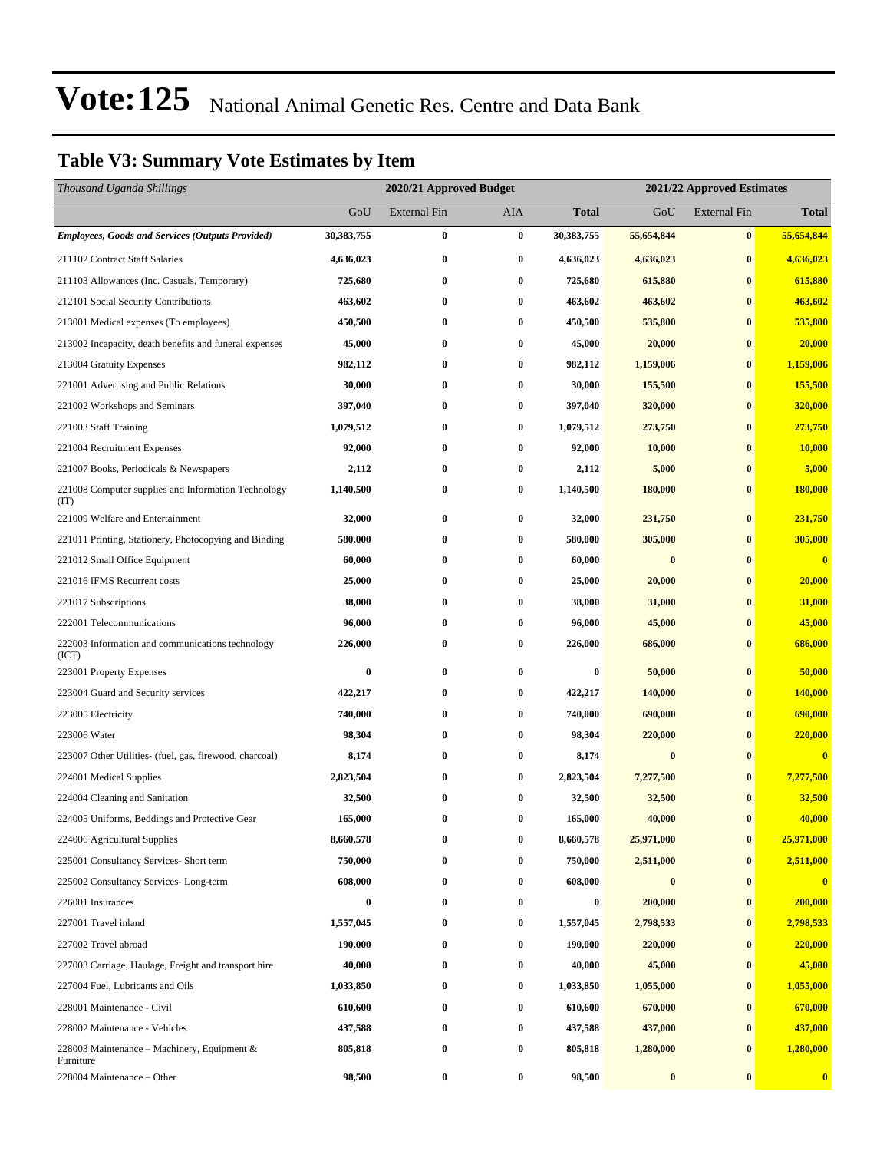### **Table V3: Summary Vote Estimates by Item**

| Thousand Uganda Shillings                                   |            | 2020/21 Approved Budget | 2021/22 Approved Estimates |                  |            |                     |               |
|-------------------------------------------------------------|------------|-------------------------|----------------------------|------------------|------------|---------------------|---------------|
|                                                             | GoU        | <b>External Fin</b>     | AIA                        | <b>Total</b>     | GoU        | <b>External Fin</b> | <b>Total</b>  |
| <b>Employees, Goods and Services (Outputs Provided)</b>     | 30,383,755 | $\bf{0}$                | $\bf{0}$                   | 30,383,755       | 55,654,844 | $\bf{0}$            | 55,654,844    |
| 211102 Contract Staff Salaries                              | 4,636,023  | $\bf{0}$                | $\bf{0}$                   | 4,636,023        | 4,636,023  | $\bf{0}$            | 4,636,023     |
| 211103 Allowances (Inc. Casuals, Temporary)                 | 725,680    | $\bf{0}$                | $\boldsymbol{0}$           | 725,680          | 615,880    | $\bf{0}$            | 615,880       |
| 212101 Social Security Contributions                        | 463,602    | $\bf{0}$                | $\bf{0}$                   | 463,602          | 463,602    | $\bf{0}$            | 463,602       |
| 213001 Medical expenses (To employees)                      | 450,500    | $\bf{0}$                | 0                          | 450,500          | 535,800    | $\bf{0}$            | 535,800       |
| 213002 Incapacity, death benefits and funeral expenses      | 45,000     | $\bf{0}$                | $\bf{0}$                   | 45,000           | 20,000     | $\bf{0}$            | 20,000        |
| 213004 Gratuity Expenses                                    | 982,112    | $\bf{0}$                | 0                          | 982,112          | 1,159,006  | $\bf{0}$            | 1,159,006     |
| 221001 Advertising and Public Relations                     | 30,000     | $\bf{0}$                | $\bf{0}$                   | 30,000           | 155,500    | $\bf{0}$            | 155,500       |
| 221002 Workshops and Seminars                               | 397,040    | $\bf{0}$                | $\bf{0}$                   | 397,040          | 320,000    | $\bf{0}$            | 320,000       |
| 221003 Staff Training                                       | 1,079,512  | $\bf{0}$                | 0                          | 1,079,512        | 273,750    | $\bf{0}$            | 273,750       |
| 221004 Recruitment Expenses                                 | 92,000     | $\bf{0}$                | $\bf{0}$                   | 92,000           | 10,000     | $\bf{0}$            | <b>10,000</b> |
| 221007 Books, Periodicals & Newspapers                      | 2,112      | $\bf{0}$                | 0                          | 2,112            | 5,000      | $\bf{0}$            | 5,000         |
| 221008 Computer supplies and Information Technology<br>(TT) | 1,140,500  | $\bf{0}$                | 0                          | 1,140,500        | 180,000    | $\bf{0}$            | 180,000       |
| 221009 Welfare and Entertainment                            | 32,000     | $\bf{0}$                | 0                          | 32,000           | 231,750    | $\bf{0}$            | 231,750       |
| 221011 Printing, Stationery, Photocopying and Binding       | 580,000    | $\bf{0}$                | 0                          | 580,000          | 305,000    | $\bf{0}$            | 305,000       |
| 221012 Small Office Equipment                               | 60,000     | $\bf{0}$                | $\bf{0}$                   | 60,000           | $\bf{0}$   | $\bf{0}$            | $\bf{0}$      |
| 221016 IFMS Recurrent costs                                 | 25,000     | $\bf{0}$                | 0                          | 25,000           | 20,000     | $\bf{0}$            | 20,000        |
| 221017 Subscriptions                                        | 38,000     | $\bf{0}$                | 0                          | 38,000           | 31,000     | $\bf{0}$            | 31,000        |
| 222001 Telecommunications                                   | 96,000     | $\bf{0}$                | $\bf{0}$                   | 96,000           | 45,000     | $\bf{0}$            | 45,000        |
| 222003 Information and communications technology<br>(ICT)   | 226,000    | $\bf{0}$                | 0                          | 226,000          | 686,000    | $\bf{0}$            | 686,000       |
| 223001 Property Expenses                                    | $\bf{0}$   | $\bf{0}$                | $\bf{0}$                   | $\bf{0}$         | 50,000     | $\bf{0}$            | 50,000        |
| 223004 Guard and Security services                          | 422,217    | $\bf{0}$                | $\bf{0}$                   | 422,217          | 140,000    | $\bf{0}$            | 140,000       |
| 223005 Electricity                                          | 740,000    | $\bf{0}$                | $\bf{0}$                   | 740,000          | 690,000    | $\bf{0}$            | 690,000       |
| 223006 Water                                                | 98,304     | $\bf{0}$                | 0                          | 98,304           | 220,000    | $\bf{0}$            | 220,000       |
| 223007 Other Utilities- (fuel, gas, firewood, charcoal)     | 8,174      | $\bf{0}$                | 0                          | 8,174            | $\bf{0}$   | $\bf{0}$            | $\bf{0}$      |
| 224001 Medical Supplies                                     | 2,823,504  | $\bf{0}$                | 0                          | 2,823,504        | 7,277,500  | $\bf{0}$            | 7,277,500     |
| 224004 Cleaning and Sanitation                              | 32,500     | $\bf{0}$                | $\bf{0}$                   | 32,500           | 32,500     | $\bf{0}$            | 32,500        |
| 224005 Uniforms, Beddings and Protective Gear               | 165,000    | $\bf{0}$                | 0                          | 165,000          | 40,000     | $\bf{0}$            | 40,000        |
| 224006 Agricultural Supplies                                | 8,660,578  | 0                       | 0                          | 8,660,578        | 25,971,000 | $\bf{0}$            | 25,971,000    |
| 225001 Consultancy Services- Short term                     | 750,000    | 0                       | 0                          | 750,000          | 2,511,000  | $\bf{0}$            | 2,511,000     |
| 225002 Consultancy Services-Long-term                       | 608,000    | $\bf{0}$                | $\bf{0}$                   | 608,000          | $\pmb{0}$  | $\bf{0}$            | $\bf{0}$      |
| 226001 Insurances                                           | $\bf{0}$   | $\bf{0}$                | 0                          | $\boldsymbol{0}$ | 200,000    | $\bf{0}$            | 200,000       |
| 227001 Travel inland                                        | 1,557,045  | $\bf{0}$                | $\bf{0}$                   | 1,557,045        | 2,798,533  | $\bf{0}$            | 2,798,533     |
| 227002 Travel abroad                                        | 190,000    | $\bf{0}$                | 0                          | 190,000          | 220,000    | $\bf{0}$            | 220,000       |
| 227003 Carriage, Haulage, Freight and transport hire        | 40,000     | $\bf{0}$                | 0                          | 40,000           | 45,000     | $\bf{0}$            | 45,000        |
| 227004 Fuel, Lubricants and Oils                            | 1,033,850  | $\bf{0}$                | $\boldsymbol{0}$           | 1,033,850        | 1,055,000  | $\bf{0}$            | 1,055,000     |
| 228001 Maintenance - Civil                                  | 610,600    | $\bf{0}$                | 0                          | 610,600          | 670,000    | $\bf{0}$            | 670,000       |
| 228002 Maintenance - Vehicles                               | 437,588    | $\bf{0}$                | 0                          | 437,588          | 437,000    | $\bf{0}$            | 437,000       |
| 228003 Maintenance – Machinery, Equipment $\&$<br>Furniture | 805,818    | $\bf{0}$                | $\bf{0}$                   | 805,818          | 1,280,000  | $\bf{0}$            | 1,280,000     |
| 228004 Maintenance – Other                                  | 98,500     | $\bf{0}$                | $\boldsymbol{0}$           | 98,500           | $\bf{0}$   | $\bf{0}$            | $\bf{0}$      |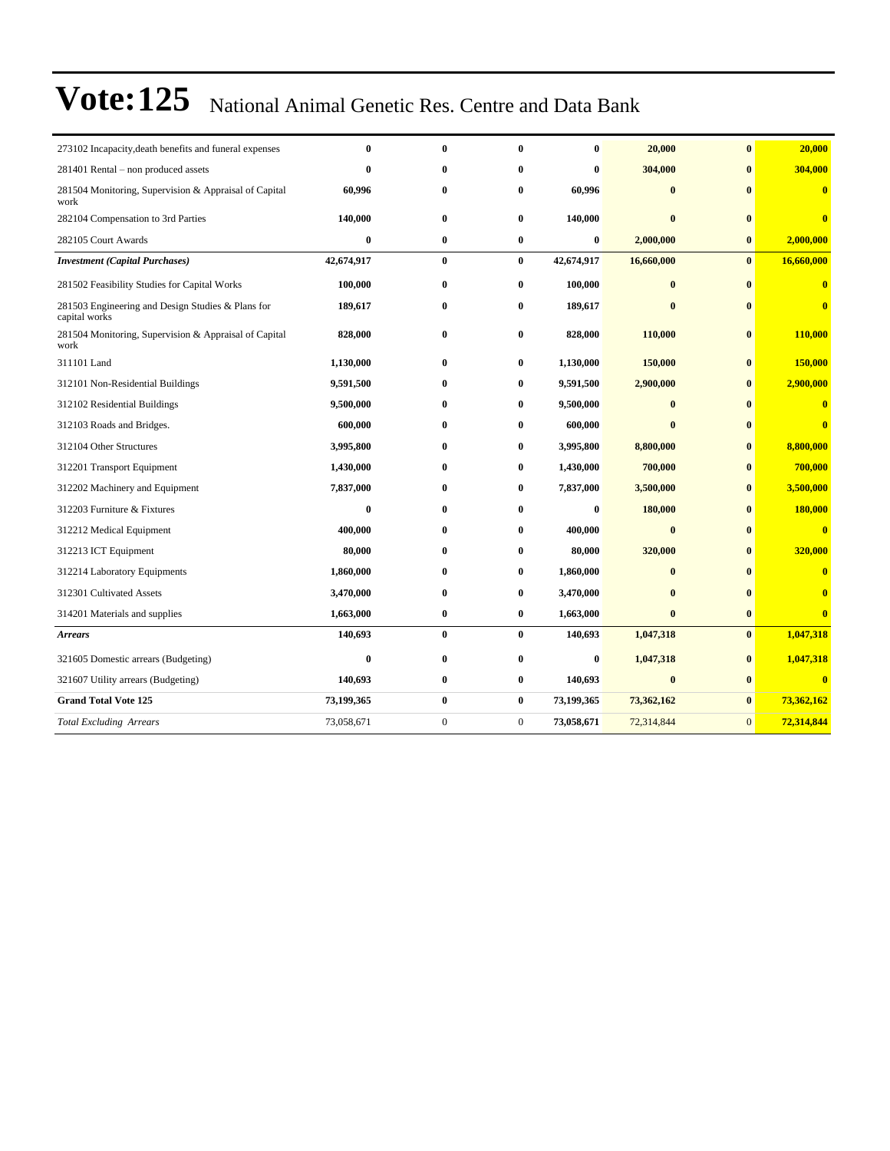| 273102 Incapacity, death benefits and funeral expenses             | $\bf{0}$   | $\bf{0}$         | $\bf{0}$         | $\bf{0}$   | 20,000       | $\bf{0}$     | 20,000                  |
|--------------------------------------------------------------------|------------|------------------|------------------|------------|--------------|--------------|-------------------------|
| 281401 Rental – non produced assets                                | $\bf{0}$   | $\bf{0}$         | $\bf{0}$         | $\bf{0}$   | 304,000      | $\bf{0}$     | 304,000                 |
| 281504 Monitoring, Supervision & Appraisal of Capital<br>work      | 60,996     | $\bf{0}$         | 0                | 60,996     | $\bf{0}$     | $\bf{0}$     | $\bf{0}$                |
| 282104 Compensation to 3rd Parties                                 | 140,000    | $\bf{0}$         | $\bf{0}$         | 140,000    | $\bf{0}$     | $\bf{0}$     | $\bf{0}$                |
| 282105 Court Awards                                                | $\bf{0}$   | $\bf{0}$         | $\bf{0}$         | $\bf{0}$   | 2,000,000    | $\bf{0}$     | 2,000,000               |
| <b>Investment</b> (Capital Purchases)                              | 42,674,917 | $\bf{0}$         | $\bf{0}$         | 42,674,917 | 16,660,000   | $\mathbf{0}$ | 16,660,000              |
| 281502 Feasibility Studies for Capital Works                       | 100,000    | $\bf{0}$         | $\bf{0}$         | 100,000    | $\bf{0}$     | $\mathbf{0}$ | $\overline{\mathbf{0}}$ |
| 281503 Engineering and Design Studies & Plans for<br>capital works | 189,617    | $\bf{0}$         | 0                | 189,617    | $\bf{0}$     | $\mathbf{0}$ | $\overline{\mathbf{0}}$ |
| 281504 Monitoring, Supervision & Appraisal of Capital<br>work      | 828,000    | $\bf{0}$         | $\bf{0}$         | 828,000    | 110,000      | $\bf{0}$     | <b>110,000</b>          |
| 311101 Land                                                        | 1,130,000  | $\bf{0}$         | $\bf{0}$         | 1,130,000  | 150,000      | $\bf{0}$     | 150,000                 |
| 312101 Non-Residential Buildings                                   | 9,591,500  | $\bf{0}$         | $\bf{0}$         | 9,591,500  | 2,900,000    | $\bf{0}$     | 2,900,000               |
| 312102 Residential Buildings                                       | 9,500,000  | $\bf{0}$         | 0                | 9,500,000  | $\mathbf{0}$ | $\mathbf{0}$ | $\bf{0}$                |
| 312103 Roads and Bridges.                                          | 600,000    | $\bf{0}$         | 0                | 600,000    | $\bf{0}$     | $\mathbf{0}$ | $\bf{0}$                |
| 312104 Other Structures                                            | 3,995,800  | $\bf{0}$         | $\bf{0}$         | 3,995,800  | 8,800,000    | $\bf{0}$     | 8,800,000               |
| 312201 Transport Equipment                                         | 1,430,000  | $\bf{0}$         | 0                | 1,430,000  | 700,000      | $\bf{0}$     | 700,000                 |
| 312202 Machinery and Equipment                                     | 7,837,000  | 0                | $\bf{0}$         | 7,837,000  | 3,500,000    | $\bf{0}$     | 3,500,000               |
| 312203 Furniture & Fixtures                                        | $\bf{0}$   | $\bf{0}$         | $\bf{0}$         | $\bf{0}$   | 180,000      | $\mathbf{0}$ | 180,000                 |
| 312212 Medical Equipment                                           | 400,000    | $\bf{0}$         | 0                | 400,000    | $\bf{0}$     | $\mathbf{0}$ | $\overline{\mathbf{0}}$ |
| 312213 ICT Equipment                                               | 80,000     | $\bf{0}$         | 0                | 80,000     | 320,000      | $\bf{0}$     | 320,000                 |
| 312214 Laboratory Equipments                                       | 1,860,000  | $\bf{0}$         | 0                | 1,860,000  | $\bf{0}$     | $\mathbf{0}$ | $\bf{0}$                |
| 312301 Cultivated Assets                                           | 3,470,000  | $\bf{0}$         | 0                | 3,470,000  | $\bf{0}$     | $\bf{0}$     | $\bf{0}$                |
| 314201 Materials and supplies                                      | 1,663,000  | $\bf{0}$         | 0                | 1,663,000  | $\bf{0}$     | $\bf{0}$     | $\bf{0}$                |
| <b>Arrears</b>                                                     | 140,693    | $\bf{0}$         | $\bf{0}$         | 140,693    | 1,047,318    | $\bf{0}$     | 1,047,318               |
| 321605 Domestic arrears (Budgeting)                                | $\bf{0}$   | $\bf{0}$         | $\bf{0}$         | $\bf{0}$   | 1,047,318    | $\bf{0}$     | 1,047,318               |
| 321607 Utility arrears (Budgeting)                                 | 140,693    | $\bf{0}$         | $\bf{0}$         | 140,693    | $\bf{0}$     | $\bf{0}$     | $\bf{0}$                |
| <b>Grand Total Vote 125</b>                                        | 73,199,365 | $\bf{0}$         | $\bf{0}$         | 73,199,365 | 73,362,162   | $\bf{0}$     | 73,362,162              |
| <b>Total Excluding Arrears</b>                                     | 73,058,671 | $\boldsymbol{0}$ | $\boldsymbol{0}$ | 73,058,671 | 72,314,844   | $\mathbf{0}$ | 72,314,844              |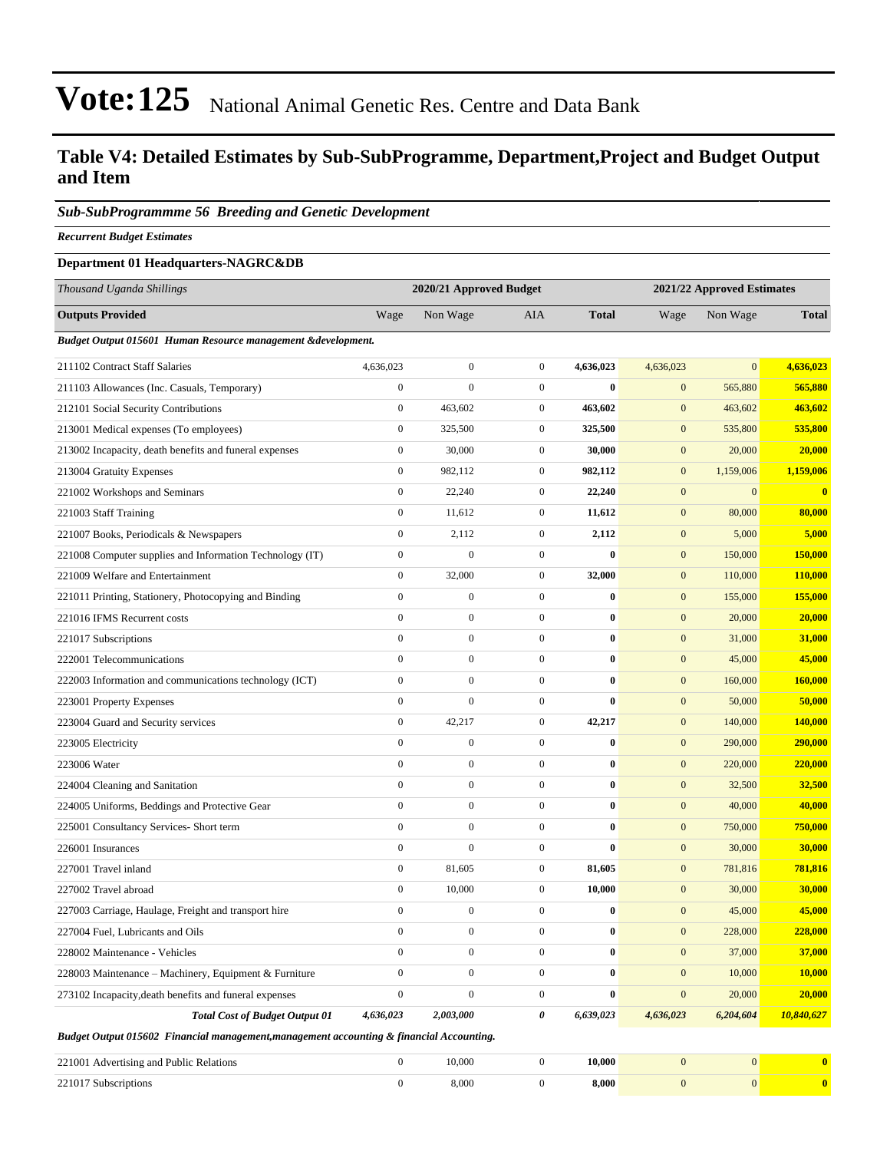### **Table V4: Detailed Estimates by Sub-SubProgramme, Department,Project and Budget Output and Item**

#### *Sub-SubProgrammme 56 Breeding and Genetic Development*

*Recurrent Budget Estimates*

#### **Department 01 Headquarters-NAGRC&DB**

| Thousand Uganda Shillings                                                                |                  | 2020/21 Approved Budget |                  |              | 2021/22 Approved Estimates |                |              |  |
|------------------------------------------------------------------------------------------|------------------|-------------------------|------------------|--------------|----------------------------|----------------|--------------|--|
| <b>Outputs Provided</b>                                                                  | Wage             | Non Wage                | AIA              | <b>Total</b> | Wage                       | Non Wage       | <b>Total</b> |  |
| Budget Output 015601 Human Resource management & development.                            |                  |                         |                  |              |                            |                |              |  |
| 211102 Contract Staff Salaries                                                           | 4,636,023        | $\boldsymbol{0}$        | $\overline{0}$   | 4,636,023    | 4,636,023                  | $\mathbf{0}$   | 4,636,023    |  |
| 211103 Allowances (Inc. Casuals, Temporary)                                              | $\boldsymbol{0}$ | $\boldsymbol{0}$        | $\mathbf{0}$     | $\bf{0}$     | $\mathbf{0}$               | 565,880        | 565,880      |  |
| 212101 Social Security Contributions                                                     | $\boldsymbol{0}$ | 463,602                 | $\mathbf{0}$     | 463,602      | $\mathbf{0}$               | 463,602        | 463,602      |  |
| 213001 Medical expenses (To employees)                                                   | $\boldsymbol{0}$ | 325,500                 | $\mathbf{0}$     | 325,500      | $\mathbf{0}$               | 535,800        | 535,800      |  |
| 213002 Incapacity, death benefits and funeral expenses                                   | $\boldsymbol{0}$ | 30,000                  | $\mathbf{0}$     | 30,000       | $\boldsymbol{0}$           | 20,000         | 20,000       |  |
| 213004 Gratuity Expenses                                                                 | $\boldsymbol{0}$ | 982,112                 | $\mathbf{0}$     | 982,112      | $\boldsymbol{0}$           | 1,159,006      | 1,159,006    |  |
| 221002 Workshops and Seminars                                                            | $\boldsymbol{0}$ | 22,240                  | $\mathbf{0}$     | 22,240       | $\mathbf{0}$               | $\overline{0}$ | $\bf{0}$     |  |
| 221003 Staff Training                                                                    | $\boldsymbol{0}$ | 11,612                  | $\mathbf{0}$     | 11,612       | $\mathbf{0}$               | 80,000         | 80,000       |  |
| 221007 Books, Periodicals & Newspapers                                                   | $\boldsymbol{0}$ | 2,112                   | $\mathbf{0}$     | 2,112        | $\mathbf{0}$               | 5,000          | 5,000        |  |
| 221008 Computer supplies and Information Technology (IT)                                 | $\boldsymbol{0}$ | $\boldsymbol{0}$        | $\overline{0}$   | $\bf{0}$     | $\mathbf{0}$               | 150,000        | 150,000      |  |
| 221009 Welfare and Entertainment                                                         | $\boldsymbol{0}$ | 32,000                  | $\mathbf{0}$     | 32,000       | $\mathbf{0}$               | 110,000        | 110,000      |  |
| 221011 Printing, Stationery, Photocopying and Binding                                    | $\boldsymbol{0}$ | $\boldsymbol{0}$        | $\overline{0}$   | $\bf{0}$     | $\mathbf{0}$               | 155,000        | 155,000      |  |
| 221016 IFMS Recurrent costs                                                              | $\boldsymbol{0}$ | $\boldsymbol{0}$        | $\overline{0}$   | $\bf{0}$     | $\mathbf{0}$               | 20,000         | 20,000       |  |
| 221017 Subscriptions                                                                     | $\mathbf{0}$     | $\boldsymbol{0}$        | $\mathbf{0}$     | $\bf{0}$     | $\mathbf{0}$               | 31,000         | 31,000       |  |
| 222001 Telecommunications                                                                | $\boldsymbol{0}$ | $\boldsymbol{0}$        | $\overline{0}$   | $\bf{0}$     | $\mathbf{0}$               | 45,000         | 45,000       |  |
| 222003 Information and communications technology (ICT)                                   | $\boldsymbol{0}$ | $\boldsymbol{0}$        | $\overline{0}$   | $\bf{0}$     | $\boldsymbol{0}$           | 160,000        | 160,000      |  |
| 223001 Property Expenses                                                                 | $\boldsymbol{0}$ | $\boldsymbol{0}$        | $\mathbf{0}$     | $\bf{0}$     | $\mathbf{0}$               | 50,000         | 50,000       |  |
| 223004 Guard and Security services                                                       | $\boldsymbol{0}$ | 42,217                  | $\mathbf{0}$     | 42,217       | $\mathbf{0}$               | 140,000        | 140,000      |  |
| 223005 Electricity                                                                       | $\mathbf{0}$     | $\boldsymbol{0}$        | $\boldsymbol{0}$ | $\bf{0}$     | $\mathbf{0}$               | 290,000        | 290,000      |  |
| 223006 Water                                                                             | $\boldsymbol{0}$ | $\boldsymbol{0}$        | $\overline{0}$   | $\bf{0}$     | $\mathbf{0}$               | 220,000        | 220,000      |  |
| 224004 Cleaning and Sanitation                                                           | $\boldsymbol{0}$ | $\boldsymbol{0}$        | $\overline{0}$   | $\bf{0}$     | $\boldsymbol{0}$           | 32,500         | 32,500       |  |
| 224005 Uniforms, Beddings and Protective Gear                                            | $\mathbf{0}$     | $\boldsymbol{0}$        | $\overline{0}$   | $\bf{0}$     | $\mathbf{0}$               | 40,000         | 40,000       |  |
| 225001 Consultancy Services- Short term                                                  | $\boldsymbol{0}$ | $\boldsymbol{0}$        | $\overline{0}$   | $\bf{0}$     | $\mathbf{0}$               | 750,000        | 750,000      |  |
| 226001 Insurances                                                                        | $\mathbf{0}$     | $\boldsymbol{0}$        | $\mathbf{0}$     | $\bf{0}$     | $\mathbf{0}$               | 30,000         | 30,000       |  |
| 227001 Travel inland                                                                     | $\boldsymbol{0}$ | 81,605                  | $\mathbf{0}$     | 81,605       | $\mathbf{0}$               | 781,816        | 781,816      |  |
| 227002 Travel abroad                                                                     | $\boldsymbol{0}$ | 10,000                  | $\boldsymbol{0}$ | 10,000       | $\mathbf{0}$               | 30,000         | 30,000       |  |
| 227003 Carriage, Haulage, Freight and transport hire                                     | $\boldsymbol{0}$ | $\boldsymbol{0}$        | $\mathbf{0}$     | $\bf{0}$     | $\mathbf{0}$               | 45,000         | 45,000       |  |
| 227004 Fuel, Lubricants and Oils                                                         | $\boldsymbol{0}$ | $\boldsymbol{0}$        | $\boldsymbol{0}$ | $\pmb{0}$    | $\boldsymbol{0}$           | 228,000        | 228,000      |  |
| 228002 Maintenance - Vehicles                                                            | $\boldsymbol{0}$ | $\boldsymbol{0}$        | $\overline{0}$   | $\bf{0}$     | $\mathbf{0}$               | 37,000         | 37,000       |  |
| 228003 Maintenance - Machinery, Equipment & Furniture                                    | $\boldsymbol{0}$ | $\boldsymbol{0}$        | $\boldsymbol{0}$ | $\bf{0}$     | $\mathbf{0}$               | 10,000         | 10,000       |  |
| 273102 Incapacity, death benefits and funeral expenses                                   | $\boldsymbol{0}$ | $\boldsymbol{0}$        | $\mathbf{0}$     | $\bf{0}$     | $\boldsymbol{0}$           | 20,000         | 20,000       |  |
| <b>Total Cost of Budget Output 01</b>                                                    | 4,636,023        | 2,003,000               | 0                | 6,639,023    | 4,636,023                  | 6,204,604      | 10,840,627   |  |
| Budget Output 015602 Financial management, management accounting & financial Accounting. |                  |                         |                  |              |                            |                |              |  |

221001 Advertising and Public Relations 0 10,000 0 **10,000** 0 0 **0** 221017 Subscriptions 0 8,000 0 **8,000** 0 0 **0**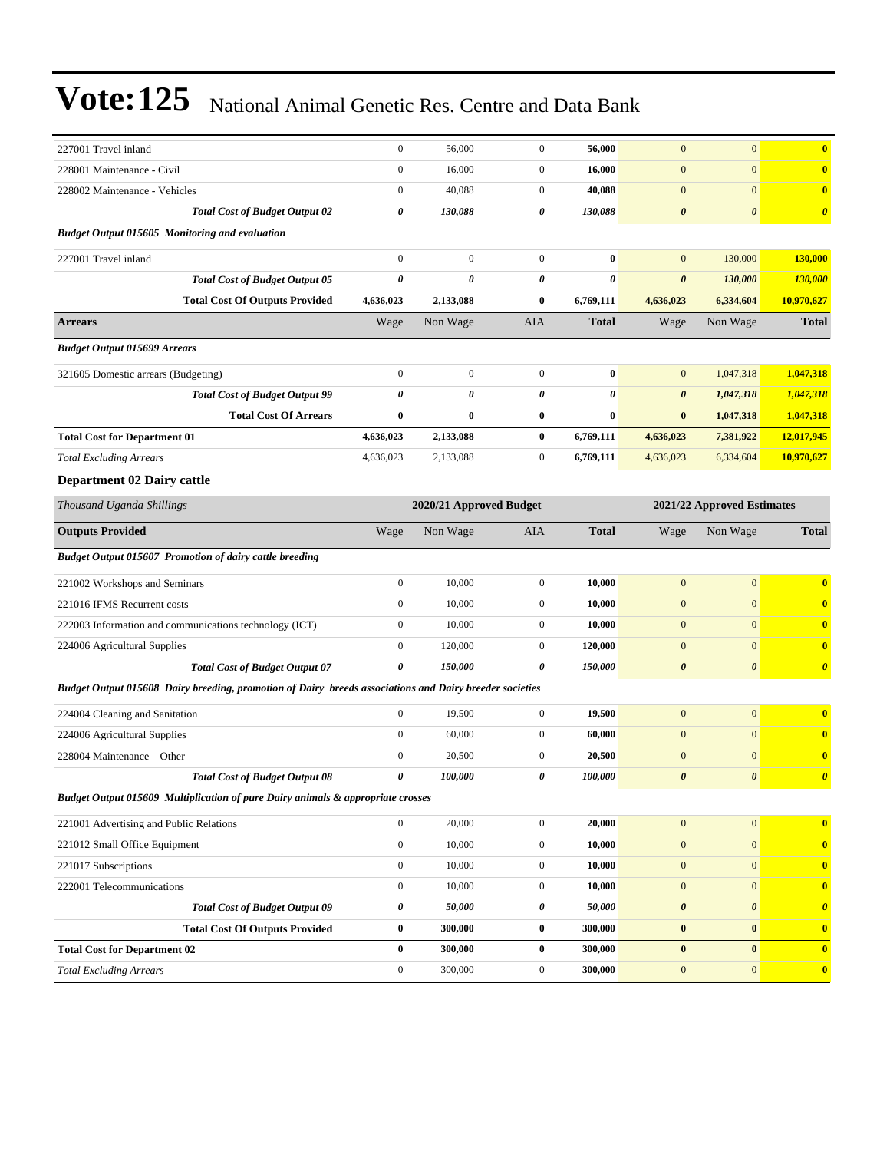| 227001 Travel inland                                                                                    | $\boldsymbol{0}$      | 56,000                  | $\boldsymbol{0}$ | 56,000                | $\mathbf{0}$          | $\overline{0}$             | $\bf{0}$              |
|---------------------------------------------------------------------------------------------------------|-----------------------|-------------------------|------------------|-----------------------|-----------------------|----------------------------|-----------------------|
| 228001 Maintenance - Civil                                                                              | $\boldsymbol{0}$      | 16,000                  | $\boldsymbol{0}$ | 16,000                | $\mathbf{0}$          | $\boldsymbol{0}$           | $\bf{0}$              |
| 228002 Maintenance - Vehicles                                                                           | $\boldsymbol{0}$      | 40,088                  | $\boldsymbol{0}$ | 40,088                | $\mathbf{0}$          | $\overline{0}$             | $\bf{0}$              |
| <b>Total Cost of Budget Output 02</b>                                                                   | 0                     | 130,088                 | 0                | 130,088               | $\boldsymbol{\theta}$ | $\boldsymbol{\theta}$      | $\boldsymbol{\theta}$ |
| <b>Budget Output 015605 Monitoring and evaluation</b>                                                   |                       |                         |                  |                       |                       |                            |                       |
| 227001 Travel inland                                                                                    | $\boldsymbol{0}$      | $\boldsymbol{0}$        | $\boldsymbol{0}$ | $\bf{0}$              | $\mathbf{0}$          | 130,000                    | 130,000               |
| <b>Total Cost of Budget Output 05</b>                                                                   | $\boldsymbol{\theta}$ | 0                       | 0                | $\boldsymbol{\theta}$ | $\boldsymbol{\theta}$ | 130,000                    | 130,000               |
| <b>Total Cost Of Outputs Provided</b>                                                                   | 4,636,023             | 2,133,088               | 0                | 6,769,111             | 4,636,023             | 6,334,604                  | 10,970,627            |
| <b>Arrears</b>                                                                                          | Wage                  | Non Wage                | AIA              | <b>Total</b>          | Wage                  | Non Wage                   | <b>Total</b>          |
| <b>Budget Output 015699 Arrears</b>                                                                     |                       |                         |                  |                       |                       |                            |                       |
| 321605 Domestic arrears (Budgeting)                                                                     | $\boldsymbol{0}$      | $\boldsymbol{0}$        | $\boldsymbol{0}$ | $\bf{0}$              | $\mathbf{0}$          | 1,047,318                  | 1,047,318             |
| <b>Total Cost of Budget Output 99</b>                                                                   | $\boldsymbol{\theta}$ | 0                       | 0                | $\pmb{\theta}$        | $\boldsymbol{\theta}$ | 1,047,318                  | 1,047,318             |
| <b>Total Cost Of Arrears</b>                                                                            | $\bf{0}$              | 0                       | 0                | $\bf{0}$              | $\bf{0}$              | 1,047,318                  | 1,047,318             |
| <b>Total Cost for Department 01</b>                                                                     | 4,636,023             | 2,133,088               | $\bf{0}$         | 6,769,111             | 4,636,023             | 7,381,922                  | 12,017,945            |
| <b>Total Excluding Arrears</b>                                                                          | 4,636,023             | 2,133,088               | $\boldsymbol{0}$ | 6,769,111             | 4,636,023             | 6,334,604                  | 10,970,627            |
| <b>Department 02 Dairy cattle</b>                                                                       |                       |                         |                  |                       |                       |                            |                       |
| Thousand Uganda Shillings                                                                               |                       | 2020/21 Approved Budget |                  |                       |                       | 2021/22 Approved Estimates |                       |
| <b>Outputs Provided</b>                                                                                 | Wage                  | Non Wage                | AIA              | <b>Total</b>          | Wage                  | Non Wage                   | <b>Total</b>          |
| <b>Budget Output 015607 Promotion of dairy cattle breeding</b>                                          |                       |                         |                  |                       |                       |                            |                       |
| 221002 Workshops and Seminars                                                                           | $\boldsymbol{0}$      | 10,000                  | $\boldsymbol{0}$ | 10,000                | $\mathbf{0}$          | $\mathbf{0}$               | $\bf{0}$              |
| 221016 IFMS Recurrent costs                                                                             | $\mathbf{0}$          | 10,000                  | $\boldsymbol{0}$ | 10,000                | $\mathbf{0}$          | $\boldsymbol{0}$           | $\bf{0}$              |
| 222003 Information and communications technology (ICT)                                                  | $\boldsymbol{0}$      | 10,000                  | $\boldsymbol{0}$ | 10,000                | $\mathbf{0}$          | $\mathbf{0}$               | $\mathbf{0}$          |
| 224006 Agricultural Supplies                                                                            | $\boldsymbol{0}$      | 120,000                 | $\boldsymbol{0}$ | 120,000               | $\mathbf{0}$          | $\boldsymbol{0}$           | $\bf{0}$              |
| <b>Total Cost of Budget Output 07</b>                                                                   | 0                     | 150,000                 | 0                | 150,000               | $\boldsymbol{\theta}$ | $\boldsymbol{\theta}$      | $\boldsymbol{\theta}$ |
| Budget Output 015608 Dairy breeding, promotion of Dairy breeds associations and Dairy breeder societies |                       |                         |                  |                       |                       |                            |                       |
| 224004 Cleaning and Sanitation                                                                          | $\boldsymbol{0}$      | 19,500                  | $\boldsymbol{0}$ | 19,500                | $\mathbf{0}$          | $\mathbf{0}$               | $\bf{0}$              |
| 224006 Agricultural Supplies                                                                            | $\boldsymbol{0}$      | 60,000                  | $\boldsymbol{0}$ | 60,000                | $\mathbf{0}$          | $\boldsymbol{0}$           | $\bf{0}$              |
| 228004 Maintenance - Other                                                                              | $\boldsymbol{0}$      | 20,500                  | 0                | 20,500                | $\mathbf{0}$          | $\boldsymbol{0}$           | $\bf{0}$              |
| <b>Total Cost of Budget Output 08</b>                                                                   | 0                     | 100,000                 | 0                | 100,000               | $\boldsymbol{\theta}$ | $\boldsymbol{\theta}$      | $\boldsymbol{\theta}$ |
| Budget Output 015609 Multiplication of pure Dairy animals & appropriate crosses                         |                       |                         |                  |                       |                       |                            |                       |
| 221001 Advertising and Public Relations                                                                 | $\boldsymbol{0}$      | 20,000                  | $\boldsymbol{0}$ | 20,000                | $\mathbf{0}$          | 0                          | $\mathbf{0}$          |
| 221012 Small Office Equipment                                                                           | $\boldsymbol{0}$      | 10,000                  | $\boldsymbol{0}$ | 10,000                | $\boldsymbol{0}$      | $\boldsymbol{0}$           | $\bf{0}$              |
| 221017 Subscriptions                                                                                    | $\mathbf{0}$          | 10,000                  | $\boldsymbol{0}$ | 10,000                | $\mathbf{0}$          | $\boldsymbol{0}$           | $\mathbf{0}$          |
| 222001 Telecommunications                                                                               | $\boldsymbol{0}$      | 10,000                  | $\boldsymbol{0}$ | 10,000                | $\mathbf{0}$          | $\overline{0}$             | $\bf{0}$              |
| <b>Total Cost of Budget Output 09</b>                                                                   | $\pmb{\theta}$        | 50,000                  | 0                | 50,000                | $\boldsymbol{\theta}$ | 0                          | $\boldsymbol{\theta}$ |
| <b>Total Cost Of Outputs Provided</b>                                                                   | $\bf{0}$              | 300,000                 | $\bf{0}$         | 300,000               | $\bf{0}$              | $\bf{0}$                   | $\bf{0}$              |
| <b>Total Cost for Department 02</b>                                                                     | $\bf{0}$              | 300,000                 | $\bf{0}$         | 300,000               | $\boldsymbol{0}$      | $\boldsymbol{0}$           | $\bf{0}$              |
| <b>Total Excluding Arrears</b>                                                                          | $\boldsymbol{0}$      | 300,000                 | $\boldsymbol{0}$ | 300,000               | $\mathbf{0}$          | $\boldsymbol{0}$           | $\bf{0}$              |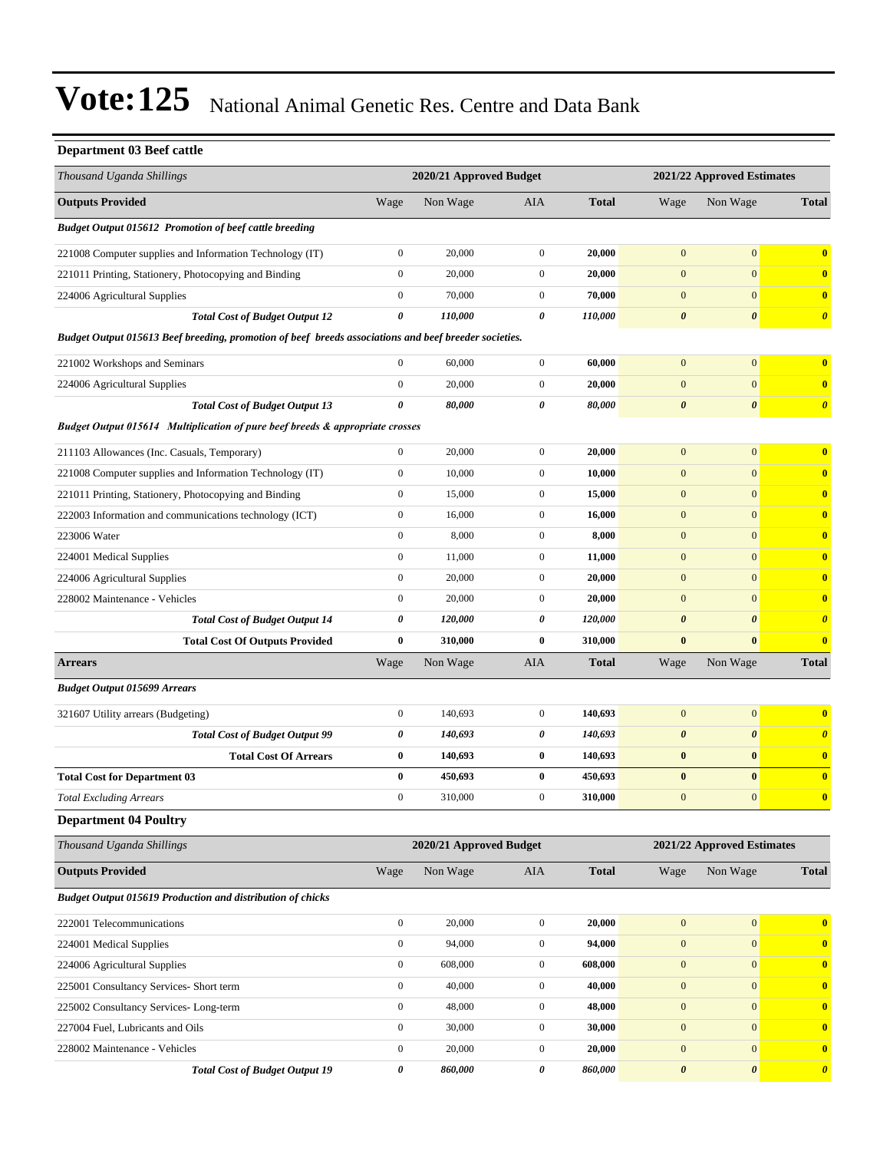### **Department 03 Beef cattle**

| Thousand Uganda Shillings                                                                             |                  | 2020/21 Approved Budget<br>2021/22 Approved Estimates |                  |              |                       |                            |                       |
|-------------------------------------------------------------------------------------------------------|------------------|-------------------------------------------------------|------------------|--------------|-----------------------|----------------------------|-----------------------|
| <b>Outputs Provided</b>                                                                               | Wage             | Non Wage                                              | AIA              | <b>Total</b> | Wage                  | Non Wage                   | <b>Total</b>          |
| <b>Budget Output 015612 Promotion of beef cattle breeding</b>                                         |                  |                                                       |                  |              |                       |                            |                       |
| 221008 Computer supplies and Information Technology (IT)                                              | $\boldsymbol{0}$ | 20,000                                                | $\boldsymbol{0}$ | 20,000       | $\mathbf{0}$          | $\boldsymbol{0}$           | $\bf{0}$              |
| 221011 Printing, Stationery, Photocopying and Binding                                                 | $\boldsymbol{0}$ | 20,000                                                | $\boldsymbol{0}$ | 20,000       | $\mathbf{0}$          | $\mathbf{0}$               | $\bf{0}$              |
| 224006 Agricultural Supplies                                                                          | $\boldsymbol{0}$ | 70,000                                                | $\boldsymbol{0}$ | 70,000       | $\mathbf{0}$          | $\mathbf{0}$               | $\bf{0}$              |
| <b>Total Cost of Budget Output 12</b>                                                                 | $\pmb{\theta}$   | 110,000                                               | 0                | 110,000      | $\boldsymbol{\theta}$ | $\boldsymbol{\theta}$      | $\boldsymbol{\theta}$ |
| Budget Output 015613 Beef breeding, promotion of beef breeds associations and beef breeder societies. |                  |                                                       |                  |              |                       |                            |                       |
| 221002 Workshops and Seminars                                                                         | $\boldsymbol{0}$ | 60,000                                                | $\mathbf{0}$     | 60,000       | $\mathbf{0}$          | $\mathbf{0}$               | $\bf{0}$              |
| 224006 Agricultural Supplies                                                                          | $\boldsymbol{0}$ | 20,000                                                | $\boldsymbol{0}$ | 20,000       | $\mathbf{0}$          | $\mathbf{0}$               | $\bf{0}$              |
| <b>Total Cost of Budget Output 13</b>                                                                 | $\pmb{\theta}$   | 80,000                                                | 0                | 80,000       | $\boldsymbol{\theta}$ | $\boldsymbol{\theta}$      | $\boldsymbol{\theta}$ |
| Budget Output 015614 Multiplication of pure beef breeds & appropriate crosses                         |                  |                                                       |                  |              |                       |                            |                       |
| 211103 Allowances (Inc. Casuals, Temporary)                                                           | $\boldsymbol{0}$ | 20,000                                                | $\boldsymbol{0}$ | 20,000       | $\mathbf{0}$          | $\mathbf{0}$               | $\bf{0}$              |
| 221008 Computer supplies and Information Technology (IT)                                              | $\boldsymbol{0}$ | 10,000                                                | $\boldsymbol{0}$ | 10,000       | $\boldsymbol{0}$      | $\mathbf{0}$               | $\bf{0}$              |
| 221011 Printing, Stationery, Photocopying and Binding                                                 | $\boldsymbol{0}$ | 15,000                                                | $\mathbf{0}$     | 15,000       | $\mathbf{0}$          | $\mathbf{0}$               | $\bf{0}$              |
| 222003 Information and communications technology (ICT)                                                | $\boldsymbol{0}$ | 16,000                                                | $\boldsymbol{0}$ | 16,000       | $\boldsymbol{0}$      | $\mathbf{0}$               | $\bf{0}$              |
| 223006 Water                                                                                          | $\boldsymbol{0}$ | 8,000                                                 | $\boldsymbol{0}$ | 8,000        | $\boldsymbol{0}$      | $\mathbf{0}$               | $\bf{0}$              |
| 224001 Medical Supplies                                                                               | $\boldsymbol{0}$ | 11,000                                                | $\boldsymbol{0}$ | 11,000       | $\mathbf{0}$          | $\mathbf{0}$               | $\bf{0}$              |
| 224006 Agricultural Supplies                                                                          | $\boldsymbol{0}$ | 20,000                                                | $\boldsymbol{0}$ | 20,000       | $\boldsymbol{0}$      | $\mathbf{0}$               | $\bf{0}$              |
| 228002 Maintenance - Vehicles                                                                         | $\boldsymbol{0}$ | 20,000                                                | $\mathbf{0}$     | 20,000       | $\boldsymbol{0}$      | $\mathbf{0}$               | $\bf{0}$              |
| <b>Total Cost of Budget Output 14</b>                                                                 | 0                | 120,000                                               | 0                | 120,000      | $\boldsymbol{\theta}$ | $\boldsymbol{\theta}$      | $\boldsymbol{\theta}$ |
| <b>Total Cost Of Outputs Provided</b>                                                                 | $\bf{0}$         | 310,000                                               | $\bf{0}$         | 310,000      | $\bf{0}$              | $\bf{0}$                   | $\bf{0}$              |
| <b>Arrears</b>                                                                                        | Wage             | Non Wage                                              | AIA              | <b>Total</b> | Wage                  | Non Wage                   | <b>Total</b>          |
| <b>Budget Output 015699 Arrears</b>                                                                   |                  |                                                       |                  |              |                       |                            |                       |
| 321607 Utility arrears (Budgeting)                                                                    | $\boldsymbol{0}$ | 140,693                                               | $\boldsymbol{0}$ | 140,693      | $\mathbf{0}$          | $\mathbf{0}$               | $\bf{0}$              |
| <b>Total Cost of Budget Output 99</b>                                                                 | $\pmb{\theta}$   | 140,693                                               | 0                | 140,693      | $\boldsymbol{\theta}$ | $\boldsymbol{\theta}$      | $\boldsymbol{\theta}$ |
| <b>Total Cost Of Arrears</b>                                                                          | $\bf{0}$         | 140,693                                               | $\bf{0}$         | 140,693      | $\bf{0}$              | $\bf{0}$                   | $\bf{0}$              |
| <b>Total Cost for Department 03</b>                                                                   | $\bf{0}$         | 450,693                                               | $\bf{0}$         | 450,693      | $\bf{0}$              | $\bf{0}$                   | $\bf{0}$              |
| <b>Total Excluding Arrears</b>                                                                        | $\boldsymbol{0}$ | 310,000                                               | $\mathbf{0}$     | 310,000      | $\boldsymbol{0}$      | $\mathbf{0}$               | $\bf{0}$              |
| <b>Department 04 Poultry</b>                                                                          |                  |                                                       |                  |              |                       |                            |                       |
| Thousand Uganda Shillings                                                                             |                  | 2020/21 Approved Budget                               |                  |              |                       | 2021/22 Approved Estimates |                       |
| <b>Outputs Provided</b>                                                                               | Wage             | Non Wage                                              | AIA              | <b>Total</b> | Wage                  | Non Wage                   | <b>Total</b>          |
| <b>Budget Output 015619 Production and distribution of chicks</b>                                     |                  |                                                       |                  |              |                       |                            |                       |
| 222001 Telecommunications                                                                             | $\boldsymbol{0}$ | 20,000                                                | $\boldsymbol{0}$ | 20,000       | $\boldsymbol{0}$      | $\boldsymbol{0}$           | $\bf{0}$              |
| 224001 Medical Supplies                                                                               | $\boldsymbol{0}$ | 94,000                                                | $\boldsymbol{0}$ | 94,000       | $\boldsymbol{0}$      | $\mathbf{0}$               | $\bf{0}$              |
| 224006 Agricultural Supplies                                                                          | $\boldsymbol{0}$ | 608,000                                               | $\boldsymbol{0}$ | 608,000      | $\boldsymbol{0}$      | $\mathbf{0}$               | $\bf{0}$              |
| 225001 Consultancy Services- Short term                                                               | $\boldsymbol{0}$ | 40,000                                                | $\boldsymbol{0}$ | 40,000       | $\boldsymbol{0}$      | $\mathbf{0}$               | $\bf{0}$              |
| 225002 Consultancy Services-Long-term                                                                 | $\boldsymbol{0}$ | 48,000                                                | $\boldsymbol{0}$ | 48,000       | $\boldsymbol{0}$      | $\boldsymbol{0}$           | $\bf{0}$              |
| 227004 Fuel, Lubricants and Oils                                                                      | $\boldsymbol{0}$ | 30,000                                                | $\boldsymbol{0}$ | 30,000       | $\mathbf{0}$          | $\mathbf{0}$               | $\bf{0}$              |
| 228002 Maintenance - Vehicles                                                                         | $\boldsymbol{0}$ | 20,000                                                | $\boldsymbol{0}$ | 20,000       | $\boldsymbol{0}$      | $\boldsymbol{0}$           | $\bf{0}$              |
| <b>Total Cost of Budget Output 19</b>                                                                 | $\pmb{\theta}$   | 860,000                                               | 0                | 860,000      | $\pmb{\theta}$        | $\boldsymbol{\theta}$      | $\boldsymbol{\theta}$ |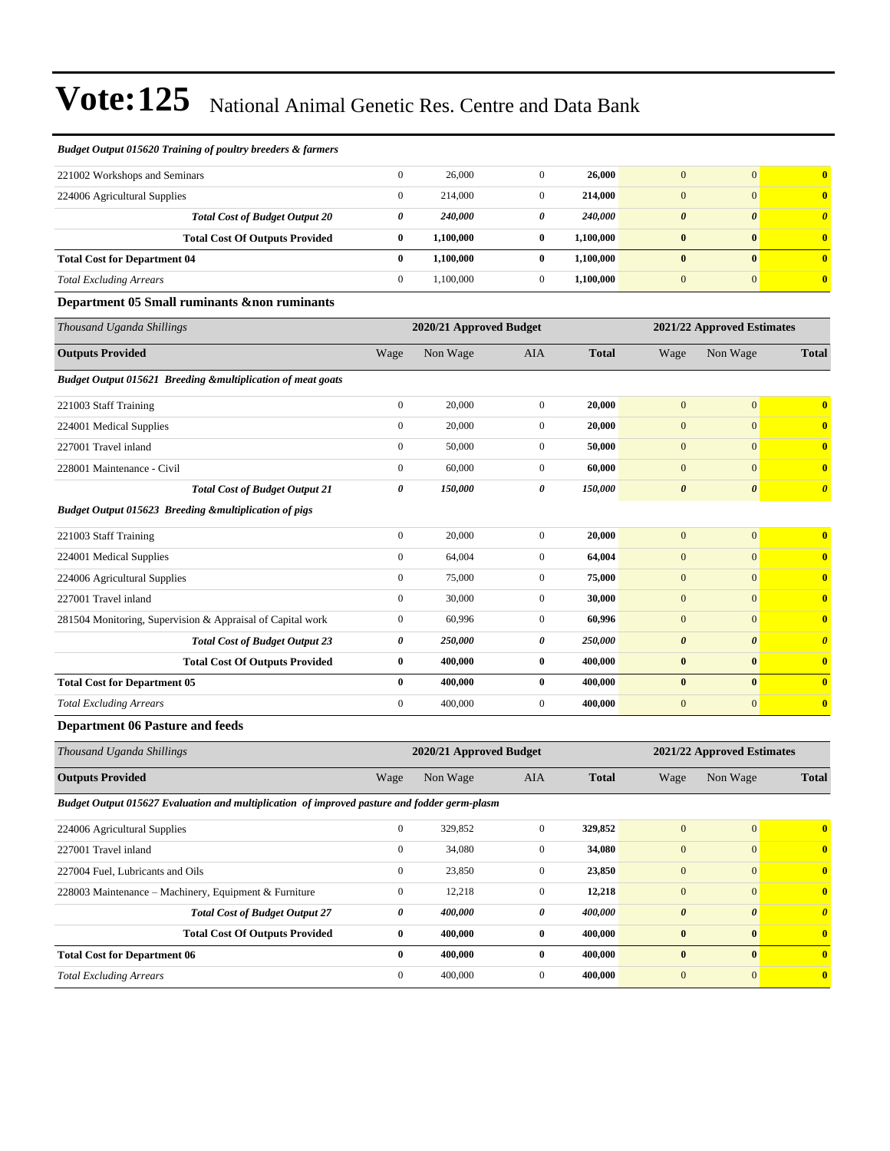| Budget Output 015620 Training of poultry breeders & farmers      |                         |           |                  |              |                       |                            |                         |
|------------------------------------------------------------------|-------------------------|-----------|------------------|--------------|-----------------------|----------------------------|-------------------------|
| 221002 Workshops and Seminars                                    | $\boldsymbol{0}$        | 26,000    | $\mathbf{0}$     | 26,000       | $\overline{0}$        | $\mathbf{0}$               | $\bf{0}$                |
| 224006 Agricultural Supplies                                     | $\overline{0}$          | 214,000   | $\overline{0}$   | 214,000      | $\overline{0}$        | $\mathbf{0}$               | $\bf{0}$                |
| <b>Total Cost of Budget Output 20</b>                            | 0                       | 240,000   | 0                | 240,000      | $\theta$              | $\boldsymbol{\theta}$      | $\boldsymbol{\theta}$   |
| <b>Total Cost Of Outputs Provided</b>                            | 0                       | 1,100,000 | $\bf{0}$         | 1,100,000    | $\bf{0}$              | $\bf{0}$                   | $\bf{0}$                |
| <b>Total Cost for Department 04</b>                              | $\bf{0}$                | 1,100,000 | $\bf{0}$         | 1,100,000    | $\bf{0}$              | $\bf{0}$                   | $\overline{\mathbf{0}}$ |
| <b>Total Excluding Arrears</b>                                   | $\overline{0}$          | 1,100,000 | $\overline{0}$   | 1,100,000    | $\mathbf{0}$          | $\mathbf{0}$               | $\bf{0}$                |
| Department 05 Small ruminants &non ruminants                     |                         |           |                  |              |                       |                            |                         |
| Thousand Uganda Shillings                                        | 2020/21 Approved Budget |           |                  |              |                       | 2021/22 Approved Estimates |                         |
| <b>Outputs Provided</b>                                          | Wage                    | Non Wage  | <b>AIA</b>       | <b>Total</b> | Wage                  | Non Wage                   | <b>Total</b>            |
| Budget Output 015621 Breeding &multiplication of meat goats      |                         |           |                  |              |                       |                            |                         |
| 221003 Staff Training                                            | $\overline{0}$          | 20,000    | $\boldsymbol{0}$ | 20,000       | $\overline{0}$        | $\mathbf{0}$               | $\overline{\mathbf{0}}$ |
| 224001 Medical Supplies                                          | $\boldsymbol{0}$        | 20,000    | $\overline{0}$   | 20,000       | $\mathbf{0}$          | $\mathbf{0}$               | $\bf{0}$                |
| 227001 Travel inland                                             | $\overline{0}$          | 50,000    | $\mathbf{0}$     | 50,000       | $\overline{0}$        | $\mathbf{0}$               | $\bf{0}$                |
| 228001 Maintenance - Civil                                       | $\overline{0}$          | 60,000    | $\overline{0}$   | 60.000       | $\overline{0}$        | $\mathbf{0}$               | $\bf{0}$                |
| <b>Total Cost of Budget Output 21</b>                            | 0                       | 150,000   | 0                | 150,000      | $\boldsymbol{\theta}$ | $\boldsymbol{\theta}$      | $\boldsymbol{\theta}$   |
| <b>Budget Output 015623 Breeding &amp;multiplication of pigs</b> |                         |           |                  |              |                       |                            |                         |
| 221003 Staff Training                                            | $\boldsymbol{0}$        | 20,000    | $\overline{0}$   | 20,000       | $\Omega$              | $\overline{0}$             | $\overline{\mathbf{0}}$ |
| 224001 Medical Supplies                                          | $\boldsymbol{0}$        | 64,004    | $\mathbf{0}$     | 64,004       | $\overline{0}$        | $\mathbf{0}$               | $\bf{0}$                |
| 224006 Agricultural Supplies                                     | $\overline{0}$          | 75,000    | $\overline{0}$   | 75,000       | $\overline{0}$        | $\mathbf{0}$               | $\bf{0}$                |
| 227001 Travel inland                                             | $\overline{0}$          | 30,000    | $\mathbf{0}$     | 30,000       | $\overline{0}$        | $\mathbf{0}$               | $\overline{\mathbf{0}}$ |
| 281504 Monitoring, Supervision & Appraisal of Capital work       | $\boldsymbol{0}$        | 60,996    | $\mathbf{0}$     | 60,996       | $\overline{0}$        | $\mathbf{0}$               | $\bf{0}$                |
| <b>Total Cost of Budget Output 23</b>                            | 0                       | 250,000   | 0                | 250,000      | $\boldsymbol{\theta}$ | $\boldsymbol{\theta}$      | $\boldsymbol{\theta}$   |
| <b>Total Cost Of Outputs Provided</b>                            | $\bf{0}$                | 400,000   | $\bf{0}$         | 400,000      | $\bf{0}$              | $\bf{0}$                   | $\overline{\mathbf{0}}$ |
| <b>Total Cost for Department 05</b>                              | $\bf{0}$                | 400,000   | $\bf{0}$         | 400,000      | $\bf{0}$              | $\bf{0}$                   | $\overline{\mathbf{0}}$ |
| <b>Total Excluding Arrears</b>                                   | $\overline{0}$          | 400,000   | $\boldsymbol{0}$ | 400,000      | $\mathbf{0}$          | $\mathbf{0}$               | $\overline{\mathbf{0}}$ |
| 3.0.13<br>$\lambda$ of $\mathbf{D}$ , $\lambda$                  |                         |           |                  |              |                       |                            |                         |

#### **Department 06 Pasture and feeds**

| Thousand Uganda Shillings                                                                    | 2020/21 Approved Budget<br>2021/22 Approved Estimates |          |              |              |                       |                       |                         |
|----------------------------------------------------------------------------------------------|-------------------------------------------------------|----------|--------------|--------------|-----------------------|-----------------------|-------------------------|
| <b>Outputs Provided</b>                                                                      | Wage                                                  | Non Wage | <b>AIA</b>   | <b>Total</b> | Wage                  | Non Wage              | <b>Total</b>            |
| Budget Output 015627 Evaluation and multiplication of improved pasture and fodder germ-plasm |                                                       |          |              |              |                       |                       |                         |
| 224006 Agricultural Supplies                                                                 | $\mathbf{0}$                                          | 329,852  | $\mathbf{0}$ | 329,852      | $\mathbf{0}$          | $\overline{0}$        | $\mathbf{0}$            |
| 227001 Travel inland                                                                         | $\mathbf{0}$                                          | 34,080   | $\mathbf{0}$ | 34,080       | $\mathbf{0}$          | $\overline{0}$        | $\mathbf{0}$            |
| 227004 Fuel, Lubricants and Oils                                                             | $\mathbf{0}$                                          | 23,850   | $\mathbf{0}$ | 23,850       | $\mathbf{0}$          | $\overline{0}$        | $\mathbf{0}$            |
| 228003 Maintenance – Machinery, Equipment & Furniture                                        | $\mathbf{0}$                                          | 12,218   | $\mathbf{0}$ | 12,218       | $\mathbf{0}$          | $\mathbf{0}$          | $\overline{\mathbf{0}}$ |
| <b>Total Cost of Budget Output 27</b>                                                        | 0                                                     | 400,000  | 0            | 400,000      | $\boldsymbol{\theta}$ | $\boldsymbol{\theta}$ | $\theta$                |
| <b>Total Cost Of Outputs Provided</b>                                                        | $\bf{0}$                                              | 400,000  | $\bf{0}$     | 400,000      | $\bf{0}$              | $\mathbf{0}$          | $\mathbf{0}$            |
| <b>Total Cost for Department 06</b>                                                          | $\bf{0}$                                              | 400,000  | $\mathbf{0}$ | 400.000      | $\bf{0}$              | $\mathbf{0}$          | $\overline{0}$          |
| <b>Total Excluding Arrears</b>                                                               | $\mathbf{0}$                                          | 400,000  | $\Omega$     | 400,000      | $\boldsymbol{0}$      | $\overline{0}$        | $\mathbf{0}$            |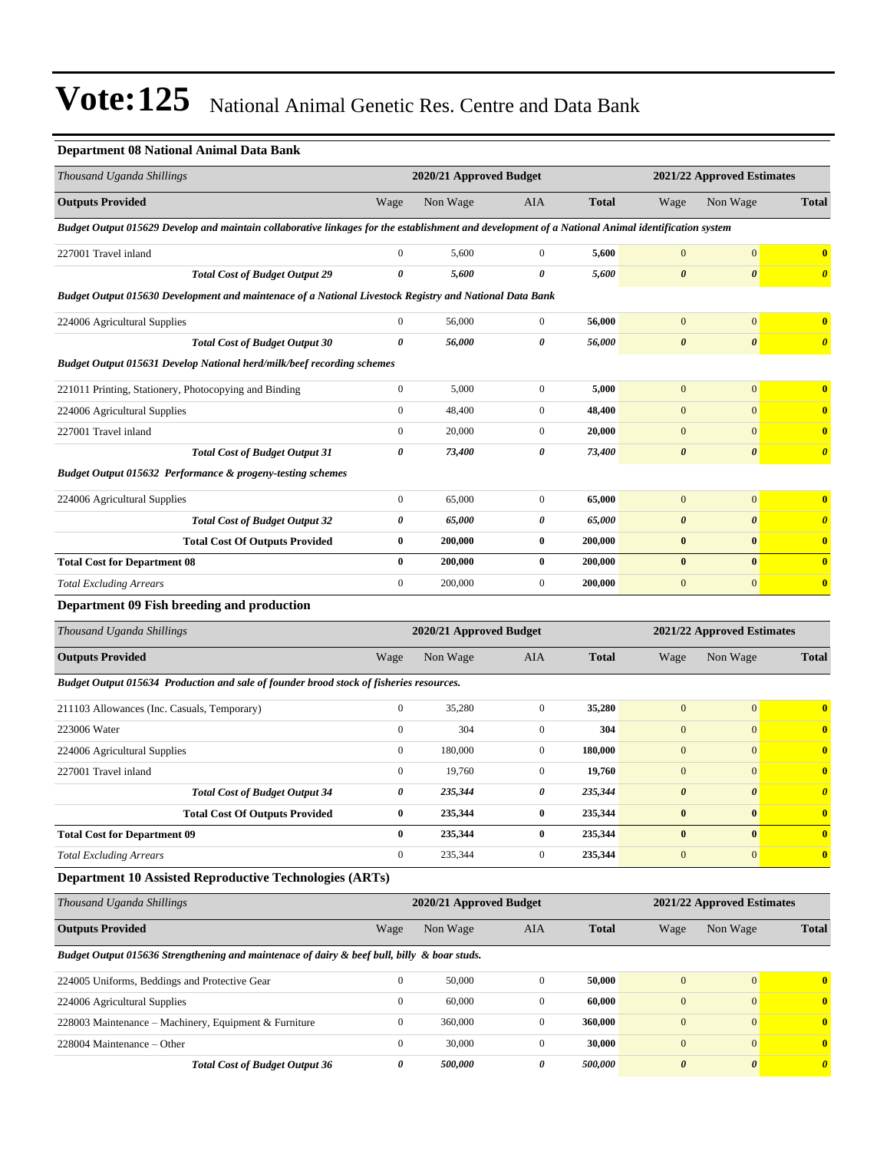### **Department 08 National Animal Data Bank**

| Thousand Uganda Shillings                                                                                                                         |                                                       | 2020/21 Approved Budget |                  |              | 2021/22 Approved Estimates |                            |                       |  |
|---------------------------------------------------------------------------------------------------------------------------------------------------|-------------------------------------------------------|-------------------------|------------------|--------------|----------------------------|----------------------------|-----------------------|--|
| <b>Outputs Provided</b>                                                                                                                           | Wage                                                  | Non Wage                | AIA              | <b>Total</b> | Wage                       | Non Wage                   | <b>Total</b>          |  |
| Budget Output 015629 Develop and maintain collaborative linkages for the establishment and development of a National Animal identification system |                                                       |                         |                  |              |                            |                            |                       |  |
| 227001 Travel inland                                                                                                                              | $\boldsymbol{0}$                                      | 5,600                   | $\mathbf{0}$     | 5,600        | $\mathbf{0}$               | $\boldsymbol{0}$           | $\bf{0}$              |  |
| <b>Total Cost of Budget Output 29</b>                                                                                                             | $\pmb{\theta}$                                        | 5,600                   | 0                | 5,600        | $\pmb{\theta}$             | $\pmb{\theta}$             | $\boldsymbol{\theta}$ |  |
| Budget Output 015630 Development and maintenace of a National Livestock Registry and National Data Bank                                           |                                                       |                         |                  |              |                            |                            |                       |  |
| 224006 Agricultural Supplies                                                                                                                      | $\boldsymbol{0}$                                      | 56,000                  | $\mathbf{0}$     | 56,000       | $\mathbf{0}$               | $\mathbf{0}$               | $\bf{0}$              |  |
| <b>Total Cost of Budget Output 30</b>                                                                                                             | 0                                                     | 56,000                  | 0                | 56,000       | $\pmb{\theta}$             | $\boldsymbol{\theta}$      | $\boldsymbol{\theta}$ |  |
| Budget Output 015631 Develop National herd/milk/beef recording schemes                                                                            |                                                       |                         |                  |              |                            |                            |                       |  |
| 221011 Printing, Stationery, Photocopying and Binding                                                                                             | $\boldsymbol{0}$                                      | 5,000                   | $\mathbf{0}$     | 5,000        | $\mathbf{0}$               | $\mathbf{0}$               | $\bf{0}$              |  |
| 224006 Agricultural Supplies                                                                                                                      | $\boldsymbol{0}$                                      | 48,400                  | $\boldsymbol{0}$ | 48,400       | $\mathbf{0}$               | $\mathbf{0}$               | $\bf{0}$              |  |
| 227001 Travel inland                                                                                                                              | $\boldsymbol{0}$                                      | 20,000                  | $\boldsymbol{0}$ | 20,000       | $\boldsymbol{0}$           | $\mathbf{0}$               | $\bf{0}$              |  |
| <b>Total Cost of Budget Output 31</b>                                                                                                             | 0                                                     | 73,400                  | 0                | 73,400       | $\boldsymbol{\theta}$      | $\boldsymbol{\theta}$      | $\boldsymbol{\theta}$ |  |
| Budget Output 015632 Performance & progeny-testing schemes                                                                                        |                                                       |                         |                  |              |                            |                            |                       |  |
| 224006 Agricultural Supplies                                                                                                                      | $\boldsymbol{0}$                                      | 65,000                  | $\mathbf{0}$     | 65,000       | $\boldsymbol{0}$           | $\boldsymbol{0}$           | $\bf{0}$              |  |
| <b>Total Cost of Budget Output 32</b>                                                                                                             | 0                                                     | 65,000                  | 0                | 65,000       | $\pmb{\theta}$             | $\boldsymbol{\theta}$      | $\boldsymbol{\theta}$ |  |
| <b>Total Cost Of Outputs Provided</b>                                                                                                             | $\bf{0}$                                              | 200,000                 | $\bf{0}$         | 200,000      | $\pmb{0}$                  | $\bf{0}$                   | $\mathbf{0}$          |  |
| <b>Total Cost for Department 08</b>                                                                                                               | $\bf{0}$                                              | 200,000                 | $\bf{0}$         | 200,000      | $\bf{0}$                   | $\bf{0}$                   | $\bf{0}$              |  |
| <b>Total Excluding Arrears</b>                                                                                                                    | $\boldsymbol{0}$                                      | 200,000                 | $\mathbf{0}$     | 200,000      | $\boldsymbol{0}$           | $\mathbf{0}$               | $\mathbf{0}$          |  |
| Department 09 Fish breeding and production                                                                                                        |                                                       |                         |                  |              |                            |                            |                       |  |
| Thousand Uganda Shillings                                                                                                                         |                                                       | 2020/21 Approved Budget |                  |              |                            | 2021/22 Approved Estimates |                       |  |
| <b>Outputs Provided</b>                                                                                                                           | Wage                                                  | Non Wage                | <b>AIA</b>       | <b>Total</b> | Wage                       | Non Wage                   | <b>Total</b>          |  |
| Budget Output 015634 Production and sale of founder brood stock of fisheries resources.                                                           |                                                       |                         |                  |              |                            |                            |                       |  |
| 211103 Allowances (Inc. Casuals, Temporary)                                                                                                       | $\boldsymbol{0}$                                      | 35,280                  | $\mathbf{0}$     | 35,280       | $\boldsymbol{0}$           | $\boldsymbol{0}$           | $\bf{0}$              |  |
| 223006 Water                                                                                                                                      | $\boldsymbol{0}$                                      | 304                     | $\mathbf{0}$     | 304          | $\boldsymbol{0}$           | $\mathbf{0}$               | $\bf{0}$              |  |
| 224006 Agricultural Supplies                                                                                                                      | $\boldsymbol{0}$                                      | 180,000                 | $\mathbf{0}$     | 180,000      | $\mathbf{0}$               | $\mathbf{0}$               | $\bf{0}$              |  |
| 227001 Travel inland                                                                                                                              | $\boldsymbol{0}$                                      | 19,760                  | $\mathbf{0}$     | 19,760       | $\boldsymbol{0}$           | $\mathbf{0}$               | $\bf{0}$              |  |
| <b>Total Cost of Budget Output 34</b>                                                                                                             | 0                                                     | 235,344                 | 0                | 235,344      | $\boldsymbol{\theta}$      | $\boldsymbol{\theta}$      | $\boldsymbol{\theta}$ |  |
| <b>Total Cost Of Outputs Provided</b>                                                                                                             | $\pmb{0}$                                             | 235,344                 | $\pmb{0}$        | 235,344      | $\pmb{0}$                  | $\bf{0}$                   | $\boldsymbol{0}$      |  |
| <b>Total Cost for Department 09</b>                                                                                                               | $\bf{0}$                                              | 235,344                 | $\bf{0}$         | 235,344      | $\bf{0}$                   | $\bf{0}$                   | $\mathbf{0}$          |  |
| <b>Total Excluding Arrears</b>                                                                                                                    | $\boldsymbol{0}$                                      | 235,344                 | $\boldsymbol{0}$ | 235,344      | $\mathbf{0}$               | $\mathbf{0}$               | $\mathbf{0}$          |  |
| <b>Department 10 Assisted Reproductive Technologies (ARTs)</b>                                                                                    |                                                       |                         |                  |              |                            |                            |                       |  |
| Thousand Uganda Shillings                                                                                                                         | 2020/21 Approved Budget<br>2021/22 Approved Estimates |                         |                  |              |                            |                            |                       |  |
| <b>Outputs Provided</b>                                                                                                                           | Wage                                                  | Non Wage                | AIA              | <b>Total</b> | Wage                       | Non Wage                   | <b>Total</b>          |  |
| Budget Output 015636 Strengthening and maintenace of dairy & beef bull, billy & boar studs.                                                       |                                                       |                         |                  |              |                            |                            |                       |  |

| 224005 Uniforms, Beddings and Protective Gear         | 50,000  | 50,000  | $\mathbf{0}$ |  |
|-------------------------------------------------------|---------|---------|--------------|--|
| 224006 Agricultural Supplies                          | 60,000  | 60,000  |              |  |
| 228003 Maintenance – Machinery, Equipment & Furniture | 360,000 | 360,000 |              |  |
| $228004$ Maintenance – Other                          | 30,000  | 30,000  | $\Omega$     |  |
| <b>Total Cost of Budget Output 36</b>                 | 500,000 | 500.000 |              |  |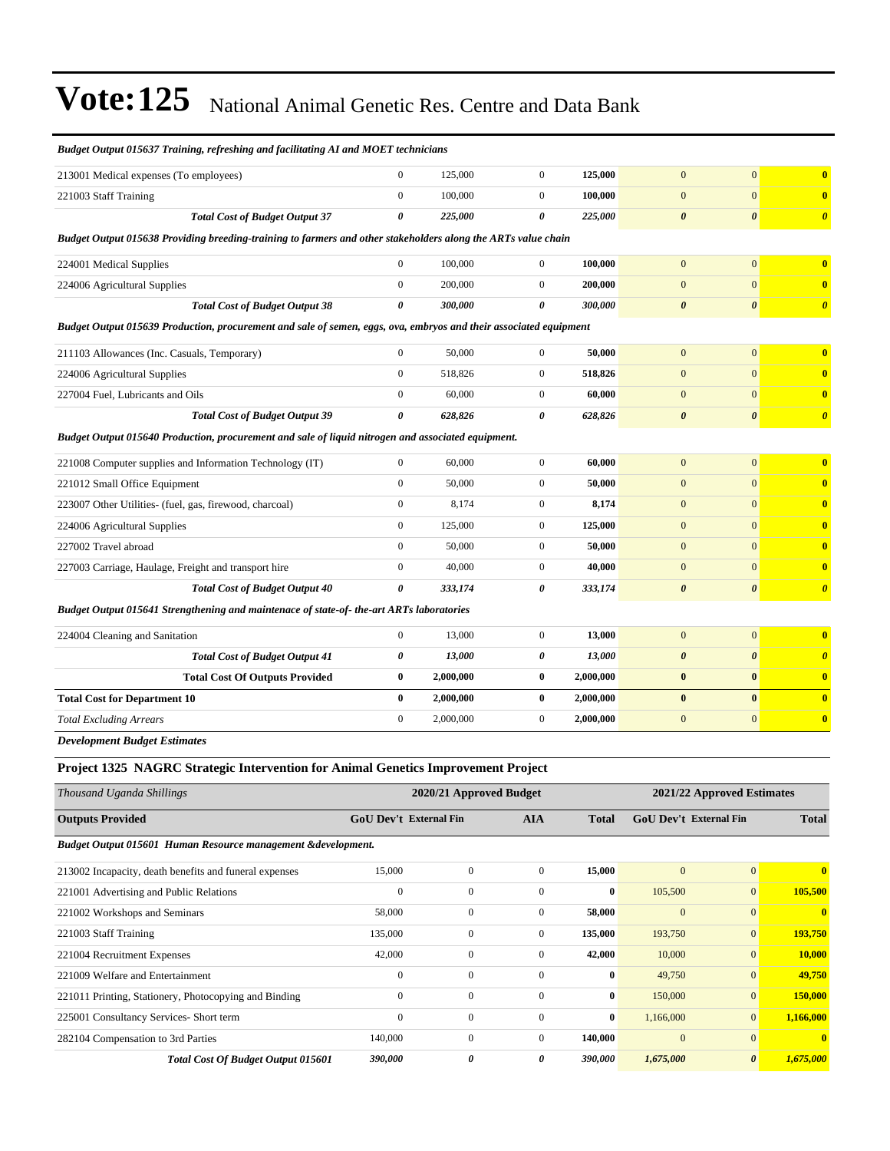| Budget Output 015637 Training, refreshing and facilitating AI and MOET technicians                                |                                                                                              |                         |                  |              |                            |                       |                         |
|-------------------------------------------------------------------------------------------------------------------|----------------------------------------------------------------------------------------------|-------------------------|------------------|--------------|----------------------------|-----------------------|-------------------------|
| 213001 Medical expenses (To employees)                                                                            | $\mathbf{0}$                                                                                 | 125,000                 | $\mathbf{0}$     | 125,000      | $\mathbf{0}$               | $\overline{0}$        | $\overline{\mathbf{0}}$ |
| 221003 Staff Training                                                                                             | $\mathbf{0}$                                                                                 | 100,000                 | $\overline{0}$   | 100,000      | $\overline{0}$             | $\mathbf{0}$          | $\bf{0}$                |
| <b>Total Cost of Budget Output 37</b>                                                                             | $\theta$                                                                                     | 225,000                 | 0                | 225,000      | $\boldsymbol{\theta}$      | $\boldsymbol{\theta}$ | $\boldsymbol{\theta}$   |
| Budget Output 015638 Providing breeding-training to farmers and other stakeholders along the ARTs value chain     |                                                                                              |                         |                  |              |                            |                       |                         |
| 224001 Medical Supplies                                                                                           | $\mathbf{0}$                                                                                 | 100,000                 | $\overline{0}$   | 100,000      | $\mathbf{0}$               | $\mathbf{0}$          | $\bf{0}$                |
| 224006 Agricultural Supplies                                                                                      | $\boldsymbol{0}$                                                                             | 200,000                 | $\boldsymbol{0}$ | 200,000      | $\mathbf{0}$               | $\mathbf{0}$          | $\bf{0}$                |
| <b>Total Cost of Budget Output 38</b>                                                                             | $\boldsymbol{\theta}$                                                                        | 300,000                 | 0                | 300,000      | $\boldsymbol{\theta}$      | $\boldsymbol{\theta}$ | $\boldsymbol{\theta}$   |
| Budget Output 015639 Production, procurement and sale of semen, eggs, ova, embryos and their associated equipment |                                                                                              |                         |                  |              |                            |                       |                         |
| 211103 Allowances (Inc. Casuals, Temporary)                                                                       | $\boldsymbol{0}$                                                                             | 50,000                  | $\overline{0}$   | 50,000       | $\mathbf{0}$               | $\mathbf{0}$          | $\bf{0}$                |
| 224006 Agricultural Supplies                                                                                      | $\mathbf{0}$                                                                                 | 518,826                 | $\overline{0}$   | 518,826      | $\overline{0}$             | $\overline{0}$        | $\bf{0}$                |
| 227004 Fuel, Lubricants and Oils                                                                                  | $\mathbf{0}$                                                                                 | 60,000                  | $\overline{0}$   | 60,000       | $\mathbf{0}$               | $\overline{0}$        | $\bf{0}$                |
| <b>Total Cost of Budget Output 39</b>                                                                             | $\theta$                                                                                     | 628,826                 | 0                | 628,826      | $\boldsymbol{\theta}$      | $\boldsymbol{\theta}$ | $\boldsymbol{\theta}$   |
| Budget Output 015640 Production, procurement and sale of liquid nitrogen and associated equipment.                |                                                                                              |                         |                  |              |                            |                       |                         |
| 221008 Computer supplies and Information Technology (IT)                                                          | $\mathbf{0}$                                                                                 | 60,000                  | $\boldsymbol{0}$ | 60,000       | $\overline{0}$             | $\overline{0}$        | $\bf{0}$                |
| 221012 Small Office Equipment                                                                                     | $\mathbf{0}$                                                                                 | 50,000                  | $\boldsymbol{0}$ | 50,000       | $\mathbf{0}$               | $\mathbf{0}$          | $\bf{0}$                |
| 223007 Other Utilities- (fuel, gas, firewood, charcoal)                                                           | $\mathbf{0}$                                                                                 | 8,174                   | $\overline{0}$   | 8,174        | $\mathbf{0}$               | $\overline{0}$        | $\mathbf{0}$            |
| 224006 Agricultural Supplies                                                                                      | $\boldsymbol{0}$                                                                             | 125,000                 | $\boldsymbol{0}$ | 125,000      | $\mathbf{0}$               | $\overline{0}$        | $\bf{0}$                |
| 227002 Travel abroad                                                                                              | $\mathbf{0}$                                                                                 | 50,000                  | $\overline{0}$   | 50,000       | $\mathbf{0}$               | $\overline{0}$        | $\overline{\mathbf{0}}$ |
| 227003 Carriage, Haulage, Freight and transport hire                                                              | $\mathbf{0}$                                                                                 | 40,000                  | $\overline{0}$   | 40,000       | $\mathbf{0}$               | $\overline{0}$        | $\bf{0}$                |
| <b>Total Cost of Budget Output 40</b>                                                                             | $\boldsymbol{\theta}$                                                                        | 333,174                 | 0                | 333,174      | $\boldsymbol{\theta}$      | $\boldsymbol{\theta}$ | $\boldsymbol{\theta}$   |
| Budget Output 015641 Strengthening and maintenace of state-of-the-art ARTs laboratories                           |                                                                                              |                         |                  |              |                            |                       |                         |
| 224004 Cleaning and Sanitation                                                                                    | $\mathbf{0}$                                                                                 | 13,000                  | $\overline{0}$   | 13,000       | $\overline{0}$             | $\overline{0}$        | $\bf{0}$                |
| <b>Total Cost of Budget Output 41</b>                                                                             | $\boldsymbol{\theta}$                                                                        | 13,000                  | 0                | 13,000       | $\boldsymbol{\theta}$      | $\boldsymbol{\theta}$ | $\boldsymbol{\theta}$   |
| <b>Total Cost Of Outputs Provided</b>                                                                             | $\bf{0}$                                                                                     | 2,000,000               | $\bf{0}$         | 2,000,000    | $\bf{0}$                   | $\bf{0}$              | $\bf{0}$                |
| <b>Total Cost for Department 10</b>                                                                               | $\bf{0}$                                                                                     | 2,000,000               | $\bf{0}$         | 2,000,000    | $\bf{0}$                   | $\bf{0}$              | $\bf{0}$                |
| <b>Total Excluding Arrears</b>                                                                                    | $\boldsymbol{0}$                                                                             | 2,000,000               | $\overline{0}$   | 2,000,000    | $\mathbf{0}$               | $\mathbf{0}$          | $\bf{0}$                |
| <b>Development Budget Estimates</b>                                                                               |                                                                                              |                         |                  |              |                            |                       |                         |
| Project 1325 NAGRC Strategic Intervention for Animal Genetics Improvement Project                                 |                                                                                              |                         |                  |              |                            |                       |                         |
| Thousand Uganda Shillings                                                                                         |                                                                                              | 2020/21 Approved Budget |                  |              | 2021/22 Approved Estimates |                       |                         |
| <b>Outputs Provided</b>                                                                                           | <b>GoU Dev't External Fin</b><br><b>GoU Dev't External Fin</b><br><b>AIA</b><br><b>Total</b> |                         |                  | <b>Total</b> |                            |                       |                         |

*Budget Output 015601 Human Resource management &development.*

| 213002 Incapacity, death benefits and funeral expenses | 15,000       | $\mathbf{0}$   | $\mathbf{0}$ | 15,000   | $\mathbf{0}$ | $\overline{0}$        | $\mathbf{0}$  |
|--------------------------------------------------------|--------------|----------------|--------------|----------|--------------|-----------------------|---------------|
| 221001 Advertising and Public Relations                | $\mathbf{0}$ | $\overline{0}$ | $\Omega$     | $\bf{0}$ | 105,500      | $\overline{0}$        | 105,500       |
| 221002 Workshops and Seminars                          | 58,000       | $\mathbf{0}$   | $\mathbf{0}$ | 58,000   | $\mathbf{0}$ | $\overline{0}$        | $\mathbf{0}$  |
| 221003 Staff Training                                  | 135,000      | $\mathbf{0}$   | $\mathbf{0}$ | 135,000  | 193,750      | $\overline{0}$        | 193,750       |
| 221004 Recruitment Expenses                            | 42,000       | $\mathbf{0}$   | $\mathbf{0}$ | 42,000   | 10,000       | $\overline{0}$        | <b>10,000</b> |
| 221009 Welfare and Entertainment                       | $\mathbf{0}$ | $\mathbf{0}$   | $\Omega$     | $\bf{0}$ | 49,750       | $\overline{0}$        | 49,750        |
| 221011 Printing, Stationery, Photocopying and Binding  | $\Omega$     | $\overline{0}$ | $\Omega$     | $\bf{0}$ | 150,000      | $\overline{0}$        | 150,000       |
| 225001 Consultancy Services- Short term                | $\mathbf{0}$ | $\mathbf{0}$   | $\mathbf{0}$ | $\bf{0}$ | 1,166,000    | $\overline{0}$        | 1,166,000     |
| 282104 Compensation to 3rd Parties                     | 140,000      | $\mathbf{0}$   | $\Omega$     | 140,000  | $\mathbf{0}$ | $\Omega$              | $\mathbf{0}$  |
| <b>Total Cost Of Budget Output 015601</b>              | 390,000      | 0              | 0            | 390,000  | 1,675,000    | $\boldsymbol{\theta}$ | 1,675,000     |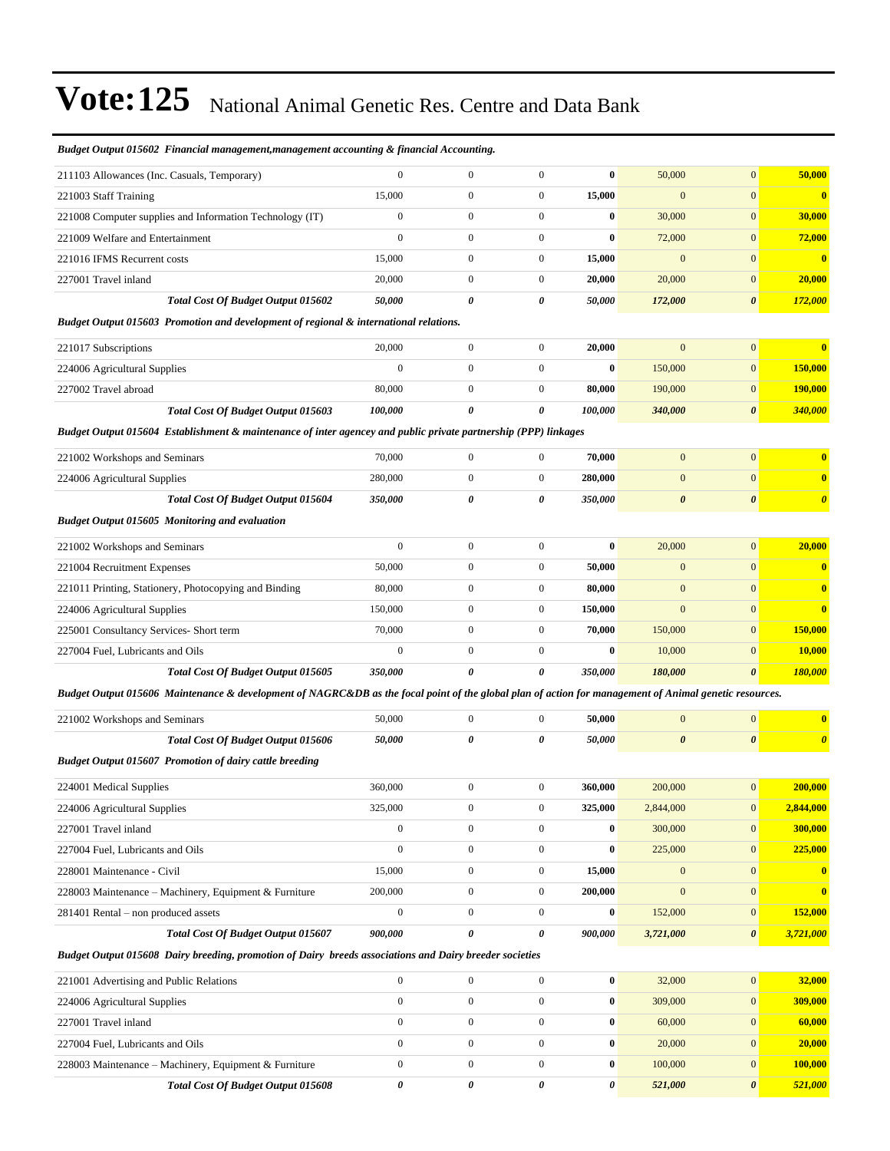| Budget Output 015602 Financial management, management accounting & financial Accounting.                                                               |                   |                                  |                                      |                   |                                      |                                  |                                     |
|--------------------------------------------------------------------------------------------------------------------------------------------------------|-------------------|----------------------------------|--------------------------------------|-------------------|--------------------------------------|----------------------------------|-------------------------------------|
| 211103 Allowances (Inc. Casuals, Temporary)                                                                                                            | $\mathbf{0}$      | $\overline{0}$                   | $\boldsymbol{0}$                     | $\bf{0}$          | 50,000                               | $\overline{0}$                   | 50,000                              |
| 221003 Staff Training                                                                                                                                  | 15,000            | $\mathbf{0}$                     | $\boldsymbol{0}$                     | 15,000            | $\boldsymbol{0}$                     | $\mathbf{0}$                     | $\bf{0}$                            |
| 221008 Computer supplies and Information Technology (IT)                                                                                               | $\boldsymbol{0}$  | $\boldsymbol{0}$                 | $\boldsymbol{0}$                     | $\bf{0}$          | 30,000                               | $\mathbf{0}$                     | 30,000                              |
| 221009 Welfare and Entertainment                                                                                                                       | $\boldsymbol{0}$  | $\boldsymbol{0}$                 | $\boldsymbol{0}$                     | $\bf{0}$          | 72,000                               | $\mathbf{0}$                     | 72,000                              |
| 221016 IFMS Recurrent costs                                                                                                                            | 15,000            | $\boldsymbol{0}$                 | $\boldsymbol{0}$                     | 15,000            | $\boldsymbol{0}$                     | $\mathbf{0}$                     | $\bf{0}$                            |
| 227001 Travel inland                                                                                                                                   | 20,000            | $\overline{0}$                   | $\mathbf{0}$                         | 20,000            | 20,000                               | $\mathbf{0}$                     | 20,000                              |
| Total Cost Of Budget Output 015602                                                                                                                     | 50,000            | 0                                | 0                                    | 50,000            | 172,000                              | $\boldsymbol{\theta}$            | 172,000                             |
| Budget Output 015603 Promotion and development of regional & international relations.                                                                  |                   |                                  |                                      |                   |                                      |                                  |                                     |
| 221017 Subscriptions                                                                                                                                   | 20,000            | $\boldsymbol{0}$                 | $\boldsymbol{0}$                     | 20,000            | $\mathbf{0}$                         | $\mathbf{0}$                     | $\bf{0}$                            |
| 224006 Agricultural Supplies                                                                                                                           | $\overline{0}$    | $\boldsymbol{0}$                 | $\mathbf{0}$                         | $\bf{0}$          | 150,000                              | $\mathbf{0}$                     | 150,000                             |
| 227002 Travel abroad                                                                                                                                   | 80,000            | $\boldsymbol{0}$                 | $\boldsymbol{0}$                     | 80,000            | 190,000                              | $\mathbf{0}$                     | 190,000                             |
| Total Cost Of Budget Output 015603                                                                                                                     | 100,000           | 0                                | 0                                    | 100,000           | 340,000                              | $\boldsymbol{\theta}$            | 340,000                             |
| Budget Output 015604 Establishment & maintenance of inter agencey and public private partnership (PPP) linkages                                        |                   |                                  |                                      |                   |                                      |                                  |                                     |
| 221002 Workshops and Seminars                                                                                                                          | 70,000            | $\boldsymbol{0}$                 | $\boldsymbol{0}$                     | 70,000            | $\mathbf{0}$                         | $\mathbf{0}$                     | $\bf{0}$                            |
| 224006 Agricultural Supplies                                                                                                                           | 280,000           | $\boldsymbol{0}$                 | $\boldsymbol{0}$                     | 280,000           | $\boldsymbol{0}$                     | $\mathbf{0}$                     | $\bf{0}$                            |
| <b>Total Cost Of Budget Output 015604</b>                                                                                                              | 350,000           | 0                                | 0                                    | 350,000           | $\boldsymbol{\theta}$                | $\boldsymbol{\theta}$            | $\boldsymbol{\theta}$               |
| Budget Output 015605 Monitoring and evaluation                                                                                                         |                   |                                  |                                      |                   |                                      |                                  |                                     |
| 221002 Workshops and Seminars                                                                                                                          | $\boldsymbol{0}$  | $\boldsymbol{0}$                 | $\boldsymbol{0}$                     | $\bf{0}$          | 20,000                               | $\mathbf{0}$                     | 20,000                              |
| 221004 Recruitment Expenses                                                                                                                            | 50,000            | $\boldsymbol{0}$                 | $\mathbf{0}$                         | 50,000            | $\boldsymbol{0}$                     | $\mathbf{0}$                     | $\bf{0}$                            |
| 221011 Printing, Stationery, Photocopying and Binding                                                                                                  | 80,000            | $\mathbf{0}$                     | $\boldsymbol{0}$                     | 80,000            | $\boldsymbol{0}$                     | $\mathbf{0}$                     | $\overline{\mathbf{0}}$             |
| 224006 Agricultural Supplies                                                                                                                           | 150,000           | $\boldsymbol{0}$                 | $\mathbf{0}$                         | 150,000           | $\boldsymbol{0}$                     | $\mathbf{0}$                     | $\overline{\mathbf{0}}$             |
| 225001 Consultancy Services- Short term                                                                                                                | 70,000            | $\mathbf{0}$                     | $\mathbf{0}$                         | 70,000            | 150,000                              | $\mathbf{0}$                     | 150,000                             |
| 227004 Fuel, Lubricants and Oils                                                                                                                       | $\boldsymbol{0}$  | $\boldsymbol{0}$                 | $\boldsymbol{0}$                     | $\bf{0}$          | 10,000                               | $\mathbf{0}$                     | 10,000                              |
| <b>Total Cost Of Budget Output 015605</b>                                                                                                              | 350,000           | 0                                | $\pmb{\theta}$                       | 350,000           | 180,000                              | $\boldsymbol{\theta}$            | 180,000                             |
| Budget Output 015606 Maintenance & development of NAGRC&DB as the focal point of the global plan of action for management of Animal genetic resources. |                   |                                  |                                      |                   |                                      |                                  |                                     |
| 221002 Workshops and Seminars                                                                                                                          | 50,000            | $\boldsymbol{0}$                 | $\mathbf{0}$                         | 50,000            | $\boldsymbol{0}$                     | $\mathbf{0}$                     | $\bf{0}$                            |
| <b>Total Cost Of Budget Output 015606</b>                                                                                                              | 50,000            | 0                                | 0                                    | 50,000            | $\pmb{\theta}$                       | $\boldsymbol{\theta}$            | $\boldsymbol{\theta}$               |
| Budget Output 015607 Promotion of dairy cattle breeding                                                                                                |                   |                                  |                                      |                   |                                      |                                  |                                     |
|                                                                                                                                                        |                   |                                  |                                      |                   |                                      |                                  |                                     |
| 224001 Medical Supplies                                                                                                                                | 360,000           | $\boldsymbol{0}$                 | $\boldsymbol{0}$                     | 360,000           | 200,000                              | $\mathbf{0}$                     | 200,000                             |
| 224006 Agricultural Supplies                                                                                                                           | 325,000           | $\overline{0}$                   | $\boldsymbol{0}$                     | 325,000           | 2,844,000                            | $\boldsymbol{0}$                 | 2,844,000                           |
| 227001 Travel inland                                                                                                                                   | $\boldsymbol{0}$  | $\mathbf{0}$                     | $\boldsymbol{0}$                     | 0                 | 300,000                              | $\mathbf{0}$                     | 300,000                             |
| 227004 Fuel, Lubricants and Oils                                                                                                                       | $\overline{0}$    | $\boldsymbol{0}$                 | $\boldsymbol{0}$                     | $\bf{0}$          | 225,000                              | $\boldsymbol{0}$                 | 225,000                             |
| 228001 Maintenance - Civil                                                                                                                             | 15,000<br>200,000 | $\boldsymbol{0}$<br>$\mathbf{0}$ | $\boldsymbol{0}$<br>$\boldsymbol{0}$ | 15,000<br>200,000 | $\boldsymbol{0}$<br>$\boldsymbol{0}$ | $\boldsymbol{0}$<br>$\mathbf{0}$ | $\bf{0}$<br>$\overline{\mathbf{0}}$ |
| 228003 Maintenance - Machinery, Equipment & Furniture                                                                                                  | $\boldsymbol{0}$  | $\boldsymbol{0}$                 | $\boldsymbol{0}$                     | 0                 | 152,000                              | $\boldsymbol{0}$                 | 152,000                             |
| 281401 Rental – non produced assets<br>Total Cost Of Budget Output 015607                                                                              | 900,000           | 0                                | 0                                    | 900,000           | 3,721,000                            | 0                                | 3,721,000                           |
| Budget Output 015608 Dairy breeding, promotion of Dairy breeds associations and Dairy breeder societies                                                |                   |                                  |                                      |                   |                                      |                                  |                                     |
|                                                                                                                                                        |                   |                                  |                                      |                   |                                      |                                  |                                     |
| 221001 Advertising and Public Relations                                                                                                                | $\boldsymbol{0}$  | $\boldsymbol{0}$                 | $\boldsymbol{0}$                     | $\bf{0}$          | 32,000                               | $\boldsymbol{0}$                 | 32,000                              |
| 224006 Agricultural Supplies                                                                                                                           | $\boldsymbol{0}$  | $\overline{0}$                   | $\boldsymbol{0}$                     | $\bf{0}$          | 309,000                              | $\boldsymbol{0}$                 | 309,000                             |
| 227001 Travel inland                                                                                                                                   | $\boldsymbol{0}$  | $\mathbf{0}$                     | $\boldsymbol{0}$                     | 0                 | 60,000                               | $\mathbf{0}$                     | 60,000                              |
| 227004 Fuel, Lubricants and Oils                                                                                                                       | $\boldsymbol{0}$  | $\boldsymbol{0}$                 | $\boldsymbol{0}$                     | 0                 | 20,000                               | $\boldsymbol{0}$                 | 20,000                              |
| 228003 Maintenance - Machinery, Equipment & Furniture                                                                                                  | $\boldsymbol{0}$  | $\boldsymbol{0}$                 | $\boldsymbol{0}$                     | 0                 | 100,000                              | $\boldsymbol{0}$                 | 100,000                             |

*Total Cost Of Budget Output 015608 0 0 0 0 521,000 0 521,000*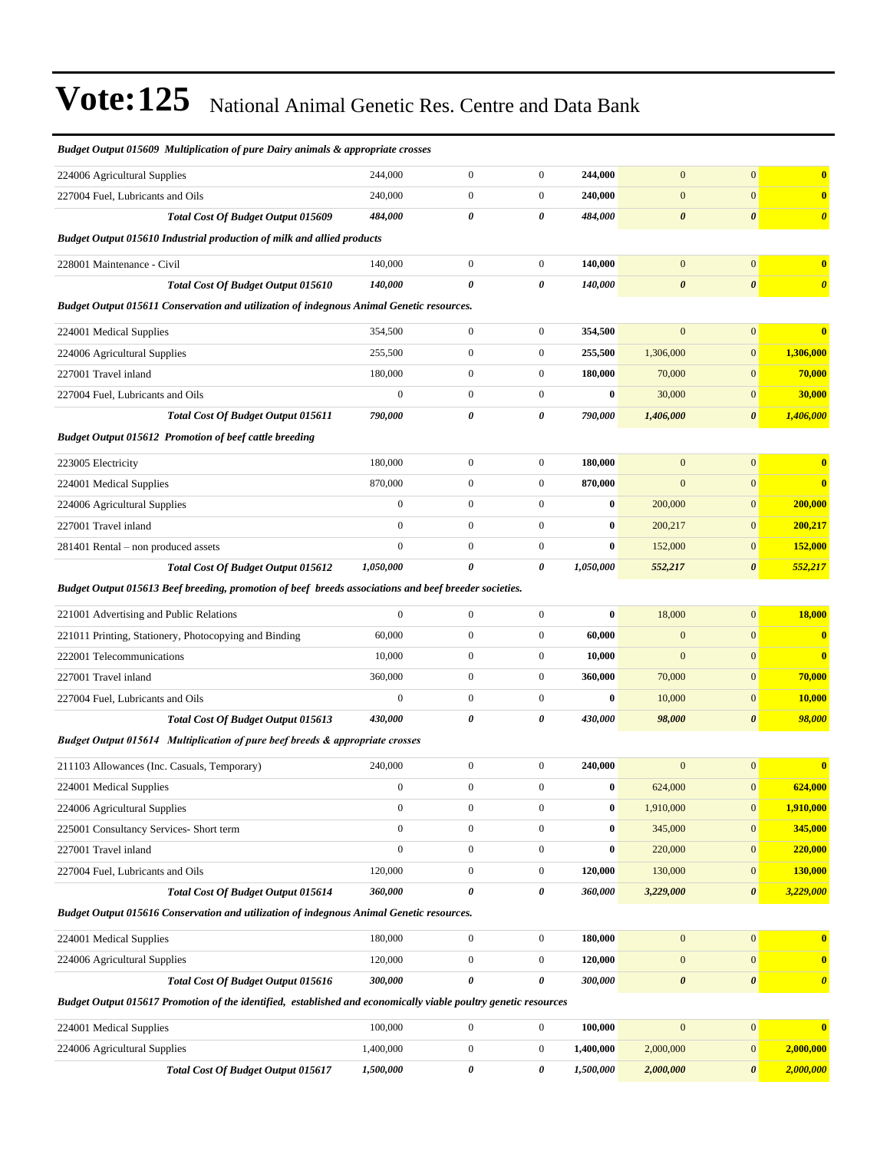| <b>Budget Output 015609 Multiplication of pure Dairy animals &amp; appropriate crosses</b>                      |                  |                       |                  |           |                       |                       |                       |  |  |  |  |
|-----------------------------------------------------------------------------------------------------------------|------------------|-----------------------|------------------|-----------|-----------------------|-----------------------|-----------------------|--|--|--|--|
| 224006 Agricultural Supplies                                                                                    | 244,000          | $\overline{0}$        | $\mathbf{0}$     | 244,000   | $\mathbf{0}$          | $\overline{0}$        | $\bf{0}$              |  |  |  |  |
| 227004 Fuel, Lubricants and Oils                                                                                | 240,000          | $\boldsymbol{0}$      | $\boldsymbol{0}$ | 240,000   | $\mathbf{0}$          | $\overline{0}$        | $\bf{0}$              |  |  |  |  |
| Total Cost Of Budget Output 015609                                                                              | 484,000          | 0                     | 0                | 484,000   | $\boldsymbol{\theta}$ | $\boldsymbol{\theta}$ | $\boldsymbol{\theta}$ |  |  |  |  |
| Budget Output 015610 Industrial production of milk and allied products                                          |                  |                       |                  |           |                       |                       |                       |  |  |  |  |
| 228001 Maintenance - Civil                                                                                      | 140,000          | $\boldsymbol{0}$      | $\boldsymbol{0}$ | 140,000   | $\mathbf{0}$          | $\boldsymbol{0}$      | $\bf{0}$              |  |  |  |  |
| <b>Total Cost Of Budget Output 015610</b>                                                                       | 140,000          | 0                     | 0                | 140,000   | $\boldsymbol{\theta}$ | $\boldsymbol{\theta}$ | $\boldsymbol{\theta}$ |  |  |  |  |
| <b>Budget Output 015611 Conservation and utilization of indegnous Animal Genetic resources.</b>                 |                  |                       |                  |           |                       |                       |                       |  |  |  |  |
| 224001 Medical Supplies                                                                                         | 354,500          | $\boldsymbol{0}$      | $\boldsymbol{0}$ | 354,500   | $\overline{0}$        | $\mathbf{0}$          | $\bf{0}$              |  |  |  |  |
| 224006 Agricultural Supplies                                                                                    | 255,500          | $\boldsymbol{0}$      | $\boldsymbol{0}$ | 255,500   | 1,306,000             | $\overline{0}$        | 1,306,000             |  |  |  |  |
| 227001 Travel inland                                                                                            | 180,000          | $\mathbf{0}$          | $\boldsymbol{0}$ | 180,000   | 70,000                | $\mathbf{0}$          | 70,000                |  |  |  |  |
| 227004 Fuel, Lubricants and Oils                                                                                | $\boldsymbol{0}$ | $\mathbf{0}$          | $\boldsymbol{0}$ | $\bf{0}$  | 30,000                | $\boldsymbol{0}$      | 30,000                |  |  |  |  |
| <b>Total Cost Of Budget Output 015611</b>                                                                       | 790,000          | 0                     | 0                | 790,000   | 1,406,000             | $\boldsymbol{\theta}$ | 1,406,000             |  |  |  |  |
| <b>Budget Output 015612 Promotion of beef cattle breeding</b>                                                   |                  |                       |                  |           |                       |                       |                       |  |  |  |  |
| 223005 Electricity                                                                                              | 180,000          | $\boldsymbol{0}$      | $\mathbf{0}$     | 180,000   | $\overline{0}$        | $\overline{0}$        | $\bf{0}$              |  |  |  |  |
| 224001 Medical Supplies                                                                                         | 870,000          | $\mathbf{0}$          | $\boldsymbol{0}$ | 870,000   | $\mathbf{0}$          | $\mathbf{0}$          | $\bf{0}$              |  |  |  |  |
| 224006 Agricultural Supplies                                                                                    | $\boldsymbol{0}$ | $\mathbf{0}$          | $\boldsymbol{0}$ | $\bf{0}$  | 200,000               | $\mathbf{0}$          | 200,000               |  |  |  |  |
| 227001 Travel inland                                                                                            | $\boldsymbol{0}$ | $\boldsymbol{0}$      | $\boldsymbol{0}$ | $\bf{0}$  | 200,217               | $\mathbf{0}$          | 200,217               |  |  |  |  |
| 281401 Rental – non produced assets                                                                             | $\boldsymbol{0}$ | $\mathbf{0}$          | $\boldsymbol{0}$ | $\bf{0}$  | 152,000               | $\mathbf{0}$          | 152,000               |  |  |  |  |
| <b>Total Cost Of Budget Output 015612</b>                                                                       | 1,050,000        | $\boldsymbol{\theta}$ | 0                | 1,050,000 | 552,217               | $\boldsymbol{\theta}$ | 552,217               |  |  |  |  |
| Budget Output 015613 Beef breeding, promotion of beef breeds associations and beef breeder societies.           |                  |                       |                  |           |                       |                       |                       |  |  |  |  |
| 221001 Advertising and Public Relations                                                                         | $\mathbf{0}$     | $\mathbf{0}$          | $\boldsymbol{0}$ | $\bf{0}$  | 18,000                | $\overline{0}$        | 18,000                |  |  |  |  |
| 221011 Printing, Stationery, Photocopying and Binding                                                           | 60,000           | $\mathbf{0}$          | $\boldsymbol{0}$ | 60,000    | $\mathbf{0}$          | $\overline{0}$        | $\bf{0}$              |  |  |  |  |
| 222001 Telecommunications                                                                                       | 10,000           | $\mathbf{0}$          | $\boldsymbol{0}$ | 10,000    | $\mathbf{0}$          | $\mathbf{0}$          | $\bf{0}$              |  |  |  |  |
| 227001 Travel inland                                                                                            | 360,000          | $\mathbf{0}$          | $\boldsymbol{0}$ | 360,000   | 70,000                | $\mathbf{0}$          | 70,000                |  |  |  |  |
| 227004 Fuel, Lubricants and Oils                                                                                | $\mathbf{0}$     | $\overline{0}$        | $\boldsymbol{0}$ | $\bf{0}$  | 10,000                | $\mathbf{0}$          | 10,000                |  |  |  |  |
| Total Cost Of Budget Output 015613                                                                              | 430,000          | 0                     | 0                | 430,000   | 98,000                | 0                     | 98,000                |  |  |  |  |
| Budget Output 015614 Multiplication of pure beef breeds & appropriate crosses                                   |                  |                       |                  |           |                       |                       |                       |  |  |  |  |
| 211103 Allowances (Inc. Casuals, Temporary)                                                                     | 240,000          | $\boldsymbol{0}$      | $\boldsymbol{0}$ | 240,000   | $\overline{0}$        | $\mathbf{0}$          | $\bf{0}$              |  |  |  |  |
| 224001 Medical Supplies                                                                                         | $\boldsymbol{0}$ | $\boldsymbol{0}$      | $\boldsymbol{0}$ | $\bf{0}$  | 624,000               | $\mathbf{0}$          | 624,000               |  |  |  |  |
| 224006 Agricultural Supplies                                                                                    | $\boldsymbol{0}$ | $\boldsymbol{0}$      | $\boldsymbol{0}$ | $\bf{0}$  | 1,910,000             | $\boldsymbol{0}$      | 1,910,000             |  |  |  |  |
| 225001 Consultancy Services- Short term                                                                         | $\boldsymbol{0}$ | $\boldsymbol{0}$      | $\boldsymbol{0}$ | $\bf{0}$  | 345,000               | $\boldsymbol{0}$      | 345,000               |  |  |  |  |
| 227001 Travel inland                                                                                            | $\boldsymbol{0}$ | $\boldsymbol{0}$      | $\boldsymbol{0}$ | $\bf{0}$  | 220,000               | $\boldsymbol{0}$      | 220,000               |  |  |  |  |
| 227004 Fuel, Lubricants and Oils                                                                                | 120,000          | $\boldsymbol{0}$      | $\boldsymbol{0}$ | 120,000   | 130,000               | $\boldsymbol{0}$      | 130,000               |  |  |  |  |
| <b>Total Cost Of Budget Output 015614</b>                                                                       | 360,000          | 0                     | 0                | 360,000   | 3,229,000             | 0                     | 3,229,000             |  |  |  |  |
| Budget Output 015616 Conservation and utilization of indegnous Animal Genetic resources.                        |                  |                       |                  |           |                       |                       |                       |  |  |  |  |
| 224001 Medical Supplies                                                                                         | 180,000          | $\boldsymbol{0}$      | $\boldsymbol{0}$ | 180,000   | $\boldsymbol{0}$      | $\boldsymbol{0}$      | $\bf{0}$              |  |  |  |  |
| 224006 Agricultural Supplies                                                                                    | 120,000          | $\boldsymbol{0}$      | $\boldsymbol{0}$ | 120,000   | $\mathbf{0}$          | $\boldsymbol{0}$      | $\bf{0}$              |  |  |  |  |
| Total Cost Of Budget Output 015616                                                                              | 300,000          | 0                     | 0                | 300,000   | $\boldsymbol{\theta}$ | $\pmb{\theta}$        | $\boldsymbol{\theta}$ |  |  |  |  |
| Budget Output 015617 Promotion of the identified, established and economically viable poultry genetic resources |                  |                       |                  |           |                       |                       |                       |  |  |  |  |
| 224001 Medical Supplies                                                                                         | 100,000          | $\boldsymbol{0}$      | $\boldsymbol{0}$ | 100,000   | $\mathbf{0}$          | $\boldsymbol{0}$      | $\bf{0}$              |  |  |  |  |
| 224006 Agricultural Supplies                                                                                    | 1,400,000        | $\boldsymbol{0}$      | $\boldsymbol{0}$ | 1,400,000 | 2,000,000             | $\boldsymbol{0}$      | 2,000,000             |  |  |  |  |
| <b>Total Cost Of Budget Output 015617</b>                                                                       | 1,500,000        | 0                     | 0                | 1,500,000 | 2,000,000             | 0                     | 2,000,000             |  |  |  |  |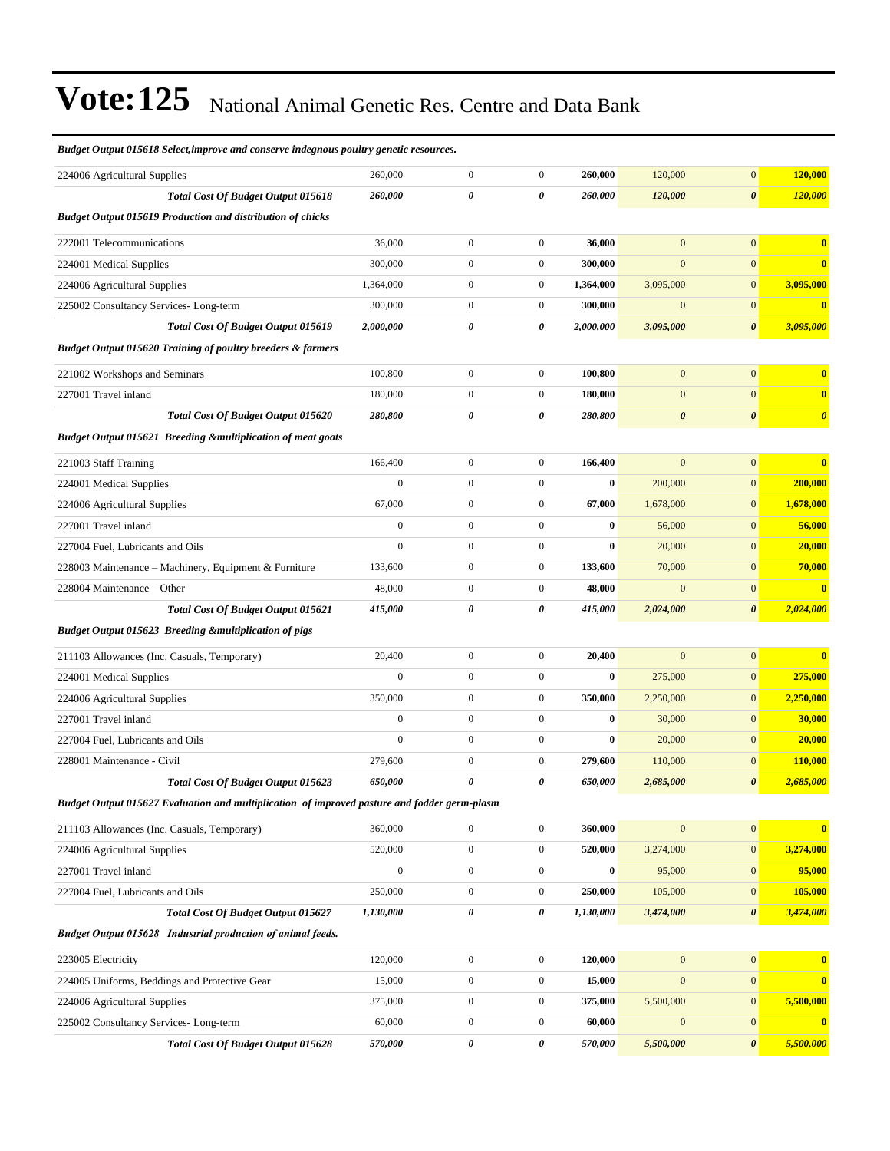| Budget Output 015618 Select, improve and conserve indegnous poultry genetic resources.       |                  |                  |                  |           |                       |                       |                         |
|----------------------------------------------------------------------------------------------|------------------|------------------|------------------|-----------|-----------------------|-----------------------|-------------------------|
| 224006 Agricultural Supplies                                                                 | 260,000          | $\boldsymbol{0}$ | $\boldsymbol{0}$ | 260,000   | 120,000               | $\mathbf{0}$          | 120,000                 |
| <b>Total Cost Of Budget Output 015618</b>                                                    | 260,000          | 0                | 0                | 260,000   | 120,000               | $\boldsymbol{\theta}$ | 120,000                 |
| <b>Budget Output 015619 Production and distribution of chicks</b>                            |                  |                  |                  |           |                       |                       |                         |
| 222001 Telecommunications                                                                    | 36,000           | $\boldsymbol{0}$ | $\boldsymbol{0}$ | 36,000    | $\boldsymbol{0}$      | $\mathbf{0}$          | $\bf{0}$                |
| 224001 Medical Supplies                                                                      | 300,000          | $\boldsymbol{0}$ | $\boldsymbol{0}$ | 300,000   | $\mathbf{0}$          | $\boldsymbol{0}$      | $\bf{0}$                |
| 224006 Agricultural Supplies                                                                 | 1,364,000        | $\boldsymbol{0}$ | $\boldsymbol{0}$ | 1,364,000 | 3,095,000             | $\mathbf{0}$          | 3,095,000               |
| 225002 Consultancy Services-Long-term                                                        | 300,000          | $\boldsymbol{0}$ | $\boldsymbol{0}$ | 300,000   | $\mathbf{0}$          | $\mathbf{0}$          | $\overline{\mathbf{0}}$ |
| Total Cost Of Budget Output 015619                                                           | 2,000,000        | 0                | 0                | 2,000,000 | 3,095,000             | $\boldsymbol{\theta}$ | 3,095,000               |
| <b>Budget Output 015620 Training of poultry breeders &amp; farmers</b>                       |                  |                  |                  |           |                       |                       |                         |
| 221002 Workshops and Seminars                                                                | 100,800          | $\boldsymbol{0}$ | $\boldsymbol{0}$ | 100,800   | $\mathbf{0}$          | $\mathbf{0}$          | $\bf{0}$                |
| 227001 Travel inland                                                                         | 180,000          | $\boldsymbol{0}$ | $\boldsymbol{0}$ | 180,000   | $\mathbf{0}$          | $\mathbf{0}$          | $\bf{0}$                |
| Total Cost Of Budget Output 015620                                                           | 280,800          | 0                | 0                | 280,800   | $\boldsymbol{\theta}$ | $\boldsymbol{\theta}$ | $\boldsymbol{\theta}$   |
| <b>Budget Output 015621 Breeding &amp;multiplication of meat goats</b>                       |                  |                  |                  |           |                       |                       |                         |
| 221003 Staff Training                                                                        | 166,400          | $\boldsymbol{0}$ | $\boldsymbol{0}$ | 166,400   | $\mathbf{0}$          | $\mathbf{0}$          | $\bf{0}$                |
| 224001 Medical Supplies                                                                      | $\boldsymbol{0}$ | $\boldsymbol{0}$ | $\boldsymbol{0}$ | $\bf{0}$  | 200,000               | $\mathbf{0}$          | 200,000                 |
| 224006 Agricultural Supplies                                                                 | 67,000           | $\boldsymbol{0}$ | $\boldsymbol{0}$ | 67,000    | 1,678,000             | $\mathbf{0}$          | 1,678,000               |
| 227001 Travel inland                                                                         | $\boldsymbol{0}$ | $\boldsymbol{0}$ | $\boldsymbol{0}$ | $\bf{0}$  | 56,000                | $\mathbf{0}$          | 56,000                  |
| 227004 Fuel, Lubricants and Oils                                                             | $\mathbf{0}$     | $\boldsymbol{0}$ | $\boldsymbol{0}$ | $\bf{0}$  | 20,000                | $\mathbf{0}$          | 20,000                  |
| 228003 Maintenance - Machinery, Equipment & Furniture                                        | 133,600          | $\boldsymbol{0}$ | $\boldsymbol{0}$ | 133,600   | 70,000                | $\mathbf{0}$          | 70,000                  |
| 228004 Maintenance – Other                                                                   | 48,000           | $\boldsymbol{0}$ | $\boldsymbol{0}$ | 48,000    | $\mathbf{0}$          | $\mathbf{0}$          | $\overline{\mathbf{0}}$ |
| Total Cost Of Budget Output 015621                                                           | 415,000          | 0                | 0                | 415,000   | 2,024,000             | $\boldsymbol{\theta}$ | 2,024,000               |
| <b>Budget Output 015623 Breeding &amp;multiplication of pigs</b>                             |                  |                  |                  |           |                       |                       |                         |
| 211103 Allowances (Inc. Casuals, Temporary)                                                  | 20,400           | $\boldsymbol{0}$ | $\boldsymbol{0}$ | 20,400    | $\mathbf{0}$          | $\boldsymbol{0}$      | $\bf{0}$                |
| 224001 Medical Supplies                                                                      | $\overline{0}$   | $\boldsymbol{0}$ | $\boldsymbol{0}$ | $\bf{0}$  | 275,000               | $\mathbf{0}$          | 275,000                 |
| 224006 Agricultural Supplies                                                                 | 350,000          | $\boldsymbol{0}$ | $\boldsymbol{0}$ | 350,000   | 2,250,000             | $\mathbf{0}$          | 2,250,000               |
| 227001 Travel inland                                                                         | $\boldsymbol{0}$ | $\boldsymbol{0}$ | $\boldsymbol{0}$ | $\bf{0}$  | 30,000                | $\mathbf{0}$          | 30,000                  |
| 227004 Fuel, Lubricants and Oils                                                             | $\mathbf{0}$     | $\boldsymbol{0}$ | $\boldsymbol{0}$ | $\bf{0}$  | 20,000                | $\mathbf{0}$          | 20,000                  |
| 228001 Maintenance - Civil                                                                   | 279,600          | $\boldsymbol{0}$ | $\boldsymbol{0}$ | 279,600   | 110,000               | $\mathbf{0}$          | 110,000                 |
| <b>Total Cost Of Budget Output 015623</b>                                                    | 650,000          | 0                | 0                | 650,000   | 2,685,000             | $\boldsymbol{\theta}$ | 2,685,000               |
| Budget Output 015627 Evaluation and multiplication of improved pasture and fodder germ-plasm |                  |                  |                  |           |                       |                       |                         |
| 211103 Allowances (Inc. Casuals, Temporary)                                                  | 360,000          | $\boldsymbol{0}$ | $\boldsymbol{0}$ | 360,000   | $\boldsymbol{0}$      | $\mathbf{0}$          | $\bf{0}$                |
| 224006 Agricultural Supplies                                                                 | 520,000          | $\boldsymbol{0}$ | $\boldsymbol{0}$ | 520,000   | 3,274,000             | $\mathbf{0}$          | 3,274,000               |
| 227001 Travel inland                                                                         | $\boldsymbol{0}$ | $\boldsymbol{0}$ | $\boldsymbol{0}$ | $\bf{0}$  | 95,000                | $\mathbf{0}$          | 95,000                  |
| 227004 Fuel, Lubricants and Oils                                                             | 250,000          | $\boldsymbol{0}$ | $\boldsymbol{0}$ | 250,000   | 105,000               | $\mathbf{0}$          | 105,000                 |
| Total Cost Of Budget Output 015627                                                           | 1,130,000        | $\pmb{\theta}$   | 0                | 1,130,000 | 3,474,000             | $\boldsymbol{\theta}$ | 3,474,000               |
| <b>Budget Output 015628</b> Industrial production of animal feeds.                           |                  |                  |                  |           |                       |                       |                         |
| 223005 Electricity                                                                           | 120,000          | $\boldsymbol{0}$ | $\boldsymbol{0}$ | 120,000   | $\boldsymbol{0}$      | $\mathbf{0}$          | $\bf{0}$                |
| 224005 Uniforms, Beddings and Protective Gear                                                | 15,000           | $\boldsymbol{0}$ | $\boldsymbol{0}$ | 15,000    | $\boldsymbol{0}$      | $\boldsymbol{0}$      | $\bf{0}$                |
| 224006 Agricultural Supplies                                                                 | 375,000          | $\boldsymbol{0}$ | $\boldsymbol{0}$ | 375,000   | 5,500,000             | $\mathbf{0}$          | 5,500,000               |
| 225002 Consultancy Services-Long-term                                                        | 60,000           | $\boldsymbol{0}$ | $\boldsymbol{0}$ | 60,000    | $\boldsymbol{0}$      | $\mathbf{0}$          | $\bf{0}$                |
| Total Cost Of Budget Output 015628                                                           | 570,000          | 0                | 0                | 570,000   | 5,500,000             | $\boldsymbol{\theta}$ | 5,500,000               |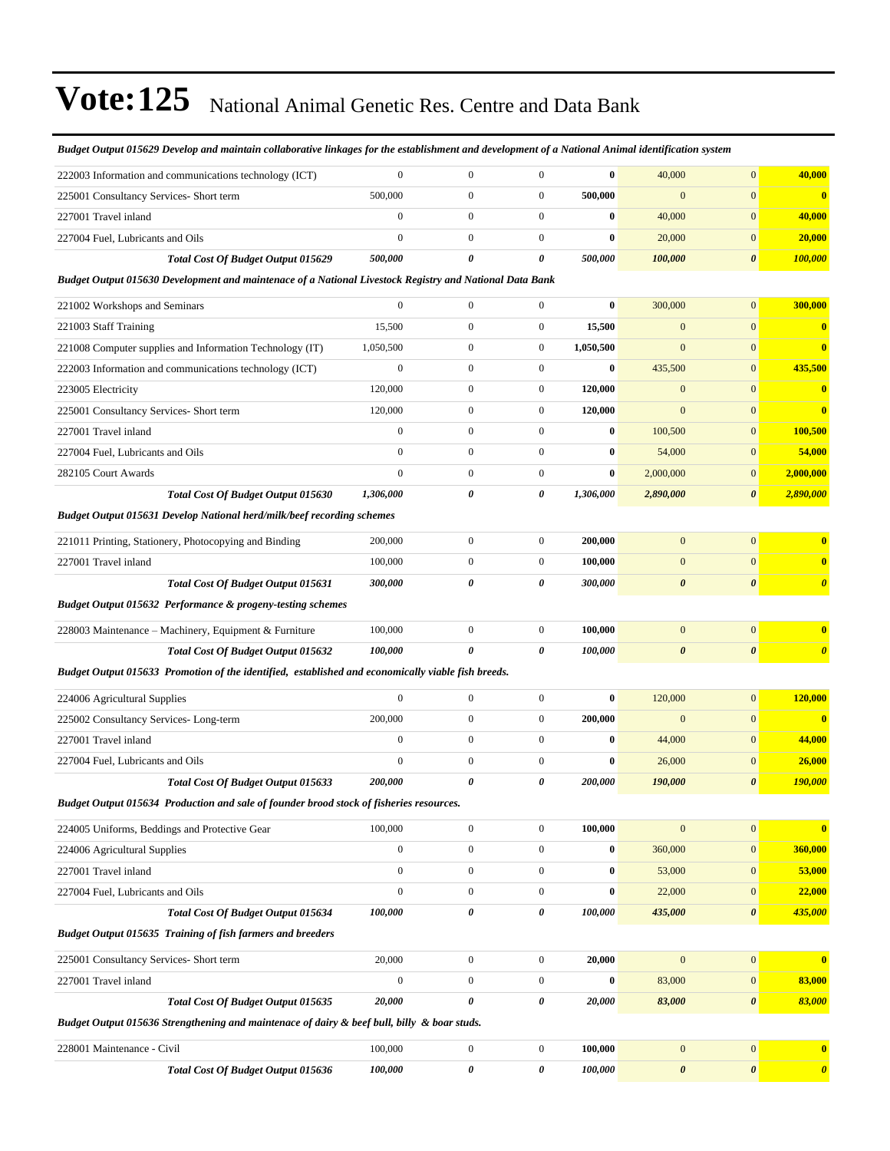| Budget Output 015629 Develop and maintain collaborative linkages for the establishment and development of a National Animal identification system |                  |                  |                       |           |                       |                       |                       |
|---------------------------------------------------------------------------------------------------------------------------------------------------|------------------|------------------|-----------------------|-----------|-----------------------|-----------------------|-----------------------|
| 222003 Information and communications technology (ICT)                                                                                            | $\mathbf{0}$     | $\boldsymbol{0}$ | $\overline{0}$        | $\bf{0}$  | 40,000                | $\overline{0}$        | 40,000                |
| 225001 Consultancy Services- Short term                                                                                                           | 500,000          | $\boldsymbol{0}$ | $\boldsymbol{0}$      | 500,000   | $\mathbf{0}$          | $\mathbf{0}$          | $\bf{0}$              |
| 227001 Travel inland                                                                                                                              | $\mathbf{0}$     | $\boldsymbol{0}$ | $\boldsymbol{0}$      | $\bf{0}$  | 40,000                | $\mathbf{0}$          | 40,000                |
| 227004 Fuel, Lubricants and Oils                                                                                                                  | $\mathbf{0}$     | $\boldsymbol{0}$ | $\boldsymbol{0}$      | $\bf{0}$  | 20,000                | $\overline{0}$        | 20,000                |
| Total Cost Of Budget Output 015629                                                                                                                | 500,000          | $\theta$         | $\boldsymbol{\theta}$ | 500,000   | 100,000               | $\boldsymbol{\theta}$ | 100,000               |
| Budget Output 015630 Development and maintenace of a National Livestock Registry and National Data Bank                                           |                  |                  |                       |           |                       |                       |                       |
| 221002 Workshops and Seminars                                                                                                                     | $\mathbf{0}$     | $\boldsymbol{0}$ | $\mathbf{0}$          | $\bf{0}$  | 300,000               | $\overline{0}$        | 300,000               |
| 221003 Staff Training                                                                                                                             | 15,500           | $\boldsymbol{0}$ | $\boldsymbol{0}$      | 15,500    | $\mathbf{0}$          | $\mathbf{0}$          | $\bf{0}$              |
| 221008 Computer supplies and Information Technology (IT)                                                                                          | 1,050,500        | $\boldsymbol{0}$ | $\boldsymbol{0}$      | 1,050,500 | $\mathbf{0}$          | $\mathbf{0}$          | $\bf{0}$              |
| 222003 Information and communications technology (ICT)                                                                                            | $\mathbf{0}$     | $\boldsymbol{0}$ | $\boldsymbol{0}$      | $\bf{0}$  | 435,500               | $\overline{0}$        | 435,500               |
| 223005 Electricity                                                                                                                                | 120,000          | $\boldsymbol{0}$ | $\boldsymbol{0}$      | 120,000   | $\mathbf{0}$          | $\mathbf{0}$          | $\bf{0}$              |
| 225001 Consultancy Services- Short term                                                                                                           | 120,000          | $\mathbf{0}$     | $\boldsymbol{0}$      | 120,000   | $\mathbf{0}$          | $\overline{0}$        | $\bf{0}$              |
| 227001 Travel inland                                                                                                                              | $\boldsymbol{0}$ | $\mathbf{0}$     | $\boldsymbol{0}$      | $\bf{0}$  | 100,500               | $\mathbf{0}$          | 100,500               |
| 227004 Fuel, Lubricants and Oils                                                                                                                  | $\mathbf{0}$     | $\boldsymbol{0}$ | $\boldsymbol{0}$      | $\bf{0}$  | 54,000                | $\mathbf{0}$          | 54,000                |
| 282105 Court Awards                                                                                                                               | $\mathbf{0}$     | $\boldsymbol{0}$ | $\boldsymbol{0}$      | $\bf{0}$  | 2,000,000             | $\overline{0}$        | 2,000,000             |
| Total Cost Of Budget Output 015630                                                                                                                | 1,306,000        | 0                | 0                     | 1,306,000 | 2,890,000             | $\boldsymbol{\theta}$ | 2,890,000             |
| <b>Budget Output 015631 Develop National herd/milk/beef recording schemes</b>                                                                     |                  |                  |                       |           |                       |                       |                       |
| 221011 Printing, Stationery, Photocopying and Binding                                                                                             | 200,000          | $\boldsymbol{0}$ | $\boldsymbol{0}$      | 200,000   | $\mathbf{0}$          | $\overline{0}$        | $\mathbf{0}$          |
| 227001 Travel inland                                                                                                                              | 100,000          | $\boldsymbol{0}$ | $\boldsymbol{0}$      | 100,000   | $\mathbf{0}$          | $\mathbf{0}$          | $\mathbf{0}$          |
| <b>Total Cost Of Budget Output 015631</b>                                                                                                         | 300,000          | $\theta$         | $\boldsymbol{\theta}$ | 300,000   | $\boldsymbol{\theta}$ | $\boldsymbol{\theta}$ | $\boldsymbol{\theta}$ |
| Budget Output 015632 Performance & progeny-testing schemes                                                                                        |                  |                  |                       |           |                       |                       |                       |
| 228003 Maintenance - Machinery, Equipment & Furniture                                                                                             | 100,000          | $\boldsymbol{0}$ | $\boldsymbol{0}$      | 100,000   | $\mathbf{0}$          | $\mathbf{0}$          | $\bf{0}$              |
| Total Cost Of Budget Output 015632                                                                                                                | 100,000          | $\theta$         | $\boldsymbol{\theta}$ | 100,000   | $\boldsymbol{\theta}$ | $\boldsymbol{\theta}$ | $\boldsymbol{\theta}$ |
| Budget Output 015633 Promotion of the identified, established and economically viable fish breeds.                                                |                  |                  |                       |           |                       |                       |                       |
| 224006 Agricultural Supplies                                                                                                                      | $\mathbf{0}$     | $\boldsymbol{0}$ | $\mathbf{0}$          | $\bf{0}$  | 120,000               | $\overline{0}$        | 120,000               |
| 225002 Consultancy Services-Long-term                                                                                                             | 200,000          | $\boldsymbol{0}$ | $\boldsymbol{0}$      | 200,000   | $\mathbf{0}$          | $\mathbf{0}$          | $\bf{0}$              |
| 227001 Travel inland                                                                                                                              | $\mathbf{0}$     | $\boldsymbol{0}$ | $\boldsymbol{0}$      | $\bf{0}$  | 44,000                | $\mathbf{0}$          | 44,000                |
| 227004 Fuel, Lubricants and Oils                                                                                                                  | $\mathbf{0}$     | $\mathbf{0}$     | $\boldsymbol{0}$      | $\bf{0}$  | 26,000                | $\mathbf{0}$          | 26,000                |
| Total Cost Of Budget Output 015633                                                                                                                | 200,000          | 0                | 0                     | 200,000   | 190,000               | $\boldsymbol{\theta}$ | 190,000               |
| Budget Output 015634 Production and sale of founder brood stock of fisheries resources.                                                           |                  |                  |                       |           |                       |                       |                       |
| 224005 Uniforms, Beddings and Protective Gear                                                                                                     | 100,000          | $\boldsymbol{0}$ | $\boldsymbol{0}$      | 100,000   | $\mathbf{0}$          | $\mathbf{0}$          | $\bf{0}$              |
| 224006 Agricultural Supplies                                                                                                                      | $\boldsymbol{0}$ | $\boldsymbol{0}$ | $\boldsymbol{0}$      | $\bf{0}$  | 360,000               | $\mathbf{0}$          | 360,000               |
| 227001 Travel inland                                                                                                                              | $\boldsymbol{0}$ | $\boldsymbol{0}$ | $\boldsymbol{0}$      | $\bf{0}$  | 53,000                | $\boldsymbol{0}$      | 53,000                |
| 227004 Fuel, Lubricants and Oils                                                                                                                  | $\boldsymbol{0}$ | $\boldsymbol{0}$ | $\boldsymbol{0}$      | $\bf{0}$  | 22,000                | $\mathbf{0}$          | 22,000                |
| Total Cost Of Budget Output 015634                                                                                                                | 100,000          | 0                | 0                     | 100,000   | 435,000               | $\boldsymbol{\theta}$ | 435,000               |
| <b>Budget Output 015635 Training of fish farmers and breeders</b>                                                                                 |                  |                  |                       |           |                       |                       |                       |
| 225001 Consultancy Services- Short term                                                                                                           | 20,000           | $\boldsymbol{0}$ | $\boldsymbol{0}$      | 20,000    | $\mathbf{0}$          | $\mathbf{0}$          | $\bf{0}$              |
| 227001 Travel inland                                                                                                                              | $\boldsymbol{0}$ | $\boldsymbol{0}$ | $\boldsymbol{0}$      | $\bf{0}$  | 83,000                | $\mathbf{0}$          | 83,000                |
| Total Cost Of Budget Output 015635                                                                                                                | 20,000           | 0                | 0                     | 20,000    | 83,000                | 0                     | 83,000                |
| Budget Output 015636 Strengthening and maintenace of dairy & beef bull, billy & boar studs.                                                       |                  |                  |                       |           |                       |                       |                       |
| 228001 Maintenance - Civil                                                                                                                        | 100,000          | $\boldsymbol{0}$ | $\boldsymbol{0}$      | 100,000   | $\bf{0}$              | $\mathbf{0}$          | $\bf{0}$              |
| Total Cost Of Budget Output 015636                                                                                                                | 100,000          | 0                | 0                     | 100,000   | $\pmb{\theta}$        | $\pmb{\theta}$        | $\boldsymbol{\theta}$ |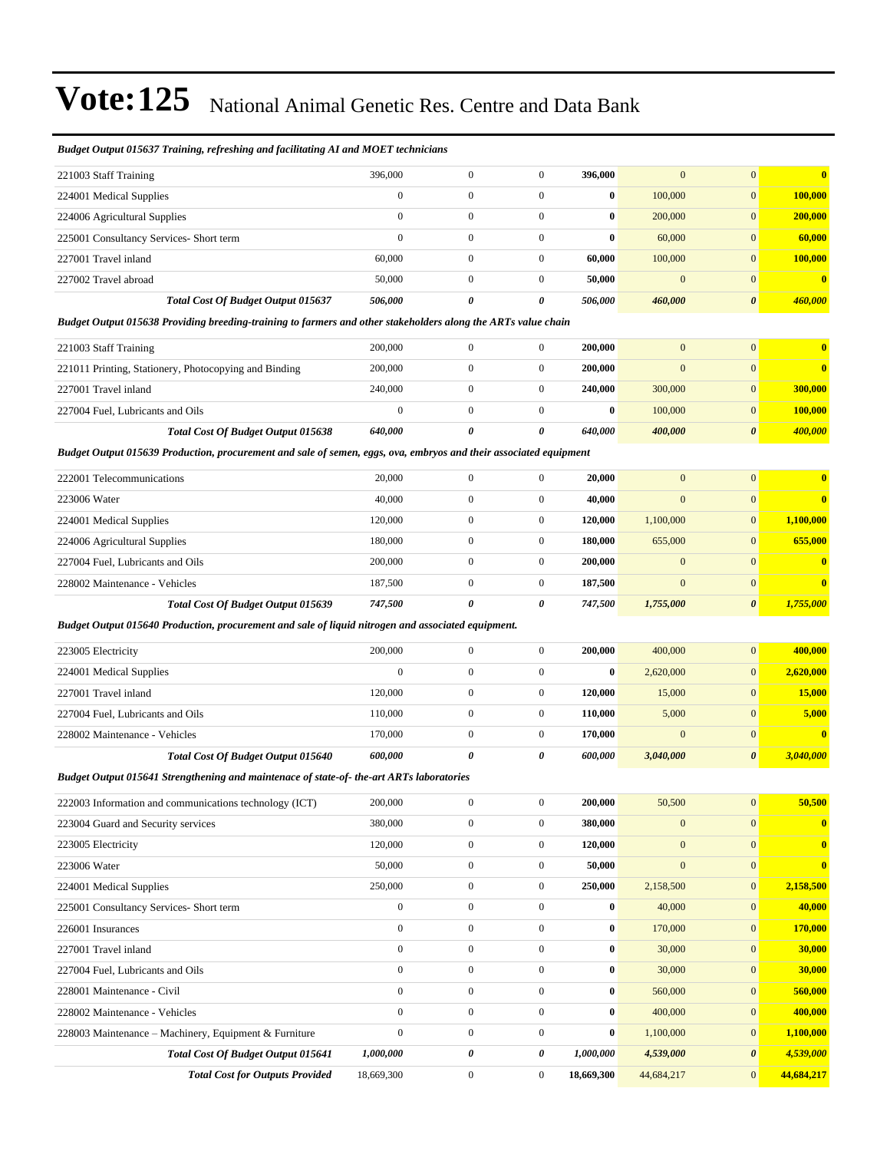#### *Budget Output 015637 Training, refreshing and facilitating AI and MOET technicians*

| 221003 Staff Training                                                                                             | 396,000          | $\boldsymbol{0}$      | $\boldsymbol{0}$      | 396,000    | $\boldsymbol{0}$ | $\mathbf{0}$          | $\bf{0}$       |
|-------------------------------------------------------------------------------------------------------------------|------------------|-----------------------|-----------------------|------------|------------------|-----------------------|----------------|
| 224001 Medical Supplies                                                                                           | $\mathbf{0}$     | $\overline{0}$        | $\overline{0}$        | $\bf{0}$   | 100,000          | $\mathbf{0}$          | 100,000        |
| 224006 Agricultural Supplies                                                                                      | $\mathbf{0}$     | $\boldsymbol{0}$      | $\boldsymbol{0}$      | $\bf{0}$   | 200,000          | $\mathbf{0}$          | 200,000        |
| 225001 Consultancy Services- Short term                                                                           | $\mathbf{0}$     | $\boldsymbol{0}$      | $\boldsymbol{0}$      | $\bf{0}$   | 60,000           | $\mathbf{0}$          | 60,000         |
| 227001 Travel inland                                                                                              | 60,000           | $\boldsymbol{0}$      | $\boldsymbol{0}$      | 60,000     | 100,000          | $\mathbf{0}$          | 100,000        |
| 227002 Travel abroad                                                                                              | 50,000           | $\boldsymbol{0}$      | $\boldsymbol{0}$      | 50,000     | $\mathbf{0}$     | $\mathbf{0}$          | $\bf{0}$       |
| <b>Total Cost Of Budget Output 015637</b>                                                                         | 506,000          | $\boldsymbol{\theta}$ | $\boldsymbol{\theta}$ | 506,000    | 460,000          | $\boldsymbol{\theta}$ | 460,000        |
| Budget Output 015638 Providing breeding-training to farmers and other stakeholders along the ARTs value chain     |                  |                       |                       |            |                  |                       |                |
| 221003 Staff Training                                                                                             | 200,000          | $\boldsymbol{0}$      | $\boldsymbol{0}$      | 200,000    | $\mathbf{0}$     | $\mathbf{0}$          | $\bf{0}$       |
| 221011 Printing, Stationery, Photocopying and Binding                                                             | 200,000          | $\boldsymbol{0}$      | $\boldsymbol{0}$      | 200,000    | $\mathbf{0}$     | $\mathbf{0}$          | $\bf{0}$       |
| 227001 Travel inland                                                                                              | 240,000          | $\boldsymbol{0}$      | $\boldsymbol{0}$      | 240,000    | 300,000          | $\mathbf{0}$          | 300,000        |
| 227004 Fuel, Lubricants and Oils                                                                                  | $\boldsymbol{0}$ | $\boldsymbol{0}$      | $\boldsymbol{0}$      | $\bf{0}$   | 100,000          | $\boldsymbol{0}$      | <b>100,000</b> |
| <b>Total Cost Of Budget Output 015638</b>                                                                         | 640,000          | 0                     | 0                     | 640,000    | 400,000          | $\boldsymbol{\theta}$ | 400,000        |
| Budget Output 015639 Production, procurement and sale of semen, eggs, ova, embryos and their associated equipment |                  |                       |                       |            |                  |                       |                |
| 222001 Telecommunications                                                                                         | 20,000           | $\boldsymbol{0}$      | $\boldsymbol{0}$      | 20,000     | $\boldsymbol{0}$ | $\overline{0}$        | $\bf{0}$       |
| 223006 Water                                                                                                      | 40,000           | $\boldsymbol{0}$      | $\boldsymbol{0}$      | 40,000     | $\mathbf{0}$     | $\overline{0}$        | $\bf{0}$       |
| 224001 Medical Supplies                                                                                           | 120,000          | $\boldsymbol{0}$      | $\boldsymbol{0}$      | 120,000    | 1,100,000        | $\mathbf{0}$          | 1,100,000      |
| 224006 Agricultural Supplies                                                                                      | 180,000          | $\boldsymbol{0}$      | $\boldsymbol{0}$      | 180,000    | 655,000          | $\mathbf{0}$          | 655,000        |
| 227004 Fuel, Lubricants and Oils                                                                                  | 200,000          | $\boldsymbol{0}$      | $\boldsymbol{0}$      | 200,000    | $\boldsymbol{0}$ | $\overline{0}$        | $\bf{0}$       |
| 228002 Maintenance - Vehicles                                                                                     | 187,500          | $\boldsymbol{0}$      | $\boldsymbol{0}$      | 187,500    | $\mathbf{0}$     | $\mathbf{0}$          | $\bf{0}$       |
| <b>Total Cost Of Budget Output 015639</b>                                                                         | 747,500          | 0                     | 0                     | 747,500    | 1,755,000        | 0                     | 1,755,000      |
| Budget Output 015640 Production, procurement and sale of liquid nitrogen and associated equipment.                |                  |                       |                       |            |                  |                       |                |
| 223005 Electricity                                                                                                | 200,000          | $\boldsymbol{0}$      | $\boldsymbol{0}$      | 200,000    | 400,000          | $\mathbf{0}$          | 400,000        |
| 224001 Medical Supplies                                                                                           | $\mathbf{0}$     | $\boldsymbol{0}$      | $\boldsymbol{0}$      | $\bf{0}$   | 2,620,000        | $\boldsymbol{0}$      | 2,620,000      |
| 227001 Travel inland                                                                                              | 120,000          | $\boldsymbol{0}$      | $\boldsymbol{0}$      | 120,000    | 15,000           | $\overline{0}$        | 15,000         |
| 227004 Fuel, Lubricants and Oils                                                                                  | 110,000          | $\boldsymbol{0}$      | $\boldsymbol{0}$      | 110,000    | 5,000            | $\overline{0}$        | 5,000          |
| 228002 Maintenance - Vehicles                                                                                     | 170,000          | $\boldsymbol{0}$      | $\boldsymbol{0}$      | 170,000    | $\mathbf{0}$     | $\overline{0}$        | $\bf{0}$       |
| Total Cost Of Budget Output 015640                                                                                | 600,000          | 0                     | 0                     | 600,000    | 3,040,000        | 0                     | 3,040,000      |
| Budget Output 015641 Strengthening and maintenace of state-of-the-art ARTs laboratories                           |                  |                       |                       |            |                  |                       |                |
| 222003 Information and communications technology (ICT)                                                            | 200,000          | $\boldsymbol{0}$      | $\overline{0}$        | 200,000    | 50,500           | $\mathbf{0}$          | 50,500         |
| 223004 Guard and Security services                                                                                | 380,000          | $\boldsymbol{0}$      | $\boldsymbol{0}$      | 380,000    | $\boldsymbol{0}$ | $\boldsymbol{0}$      | $\bf{0}$       |
| 223005 Electricity                                                                                                | 120,000          | $\boldsymbol{0}$      | $\boldsymbol{0}$      | 120,000    | $\mathbf{0}$     | $\overline{0}$        | $\bf{0}$       |
| 223006 Water                                                                                                      | 50,000           | $\boldsymbol{0}$      | $\boldsymbol{0}$      | 50,000     | $\boldsymbol{0}$ | $\overline{0}$        | $\bf{0}$       |
| 224001 Medical Supplies                                                                                           | 250,000          | $\boldsymbol{0}$      | $\boldsymbol{0}$      | 250,000    | 2,158,500        | $\overline{0}$        | 2,158,500      |
| 225001 Consultancy Services- Short term                                                                           | $\mathbf{0}$     | $\boldsymbol{0}$      | $\boldsymbol{0}$      | $\bf{0}$   | 40,000           | $\boldsymbol{0}$      | 40,000         |
| 226001 Insurances                                                                                                 | $\boldsymbol{0}$ | $\boldsymbol{0}$      | $\boldsymbol{0}$      | $\bf{0}$   | 170,000          | $\boldsymbol{0}$      | 170,000        |
| 227001 Travel inland                                                                                              | $\boldsymbol{0}$ | $\boldsymbol{0}$      | $\boldsymbol{0}$      | $\bf{0}$   | 30,000           | $\boldsymbol{0}$      | 30,000         |
| 227004 Fuel, Lubricants and Oils                                                                                  | $\mathbf{0}$     | $\boldsymbol{0}$      | $\boldsymbol{0}$      | $\bf{0}$   | 30,000           | $\boldsymbol{0}$      | 30,000         |
| 228001 Maintenance - Civil                                                                                        | $\boldsymbol{0}$ | $\boldsymbol{0}$      | $\boldsymbol{0}$      | $\bf{0}$   | 560,000          | $\overline{0}$        | 560,000        |
| 228002 Maintenance - Vehicles                                                                                     | $\mathbf{0}$     | $\boldsymbol{0}$      | $\boldsymbol{0}$      | $\bf{0}$   | 400,000          | $\boldsymbol{0}$      | 400,000        |
| 228003 Maintenance – Machinery, Equipment & Furniture                                                             | $\boldsymbol{0}$ | $\boldsymbol{0}$      | $\boldsymbol{0}$      | $\bf{0}$   | 1,100,000        | $\overline{0}$        | 1,100,000      |
| Total Cost Of Budget Output 015641                                                                                | 1,000,000        | 0                     | 0                     | 1,000,000  | 4,539,000        | 0                     | 4,539,000      |
| <b>Total Cost for Outputs Provided</b>                                                                            | 18,669,300       | $\boldsymbol{0}$      | $\boldsymbol{0}$      | 18,669,300 | 44,684,217       | $\overline{0}$        | 44,684,217     |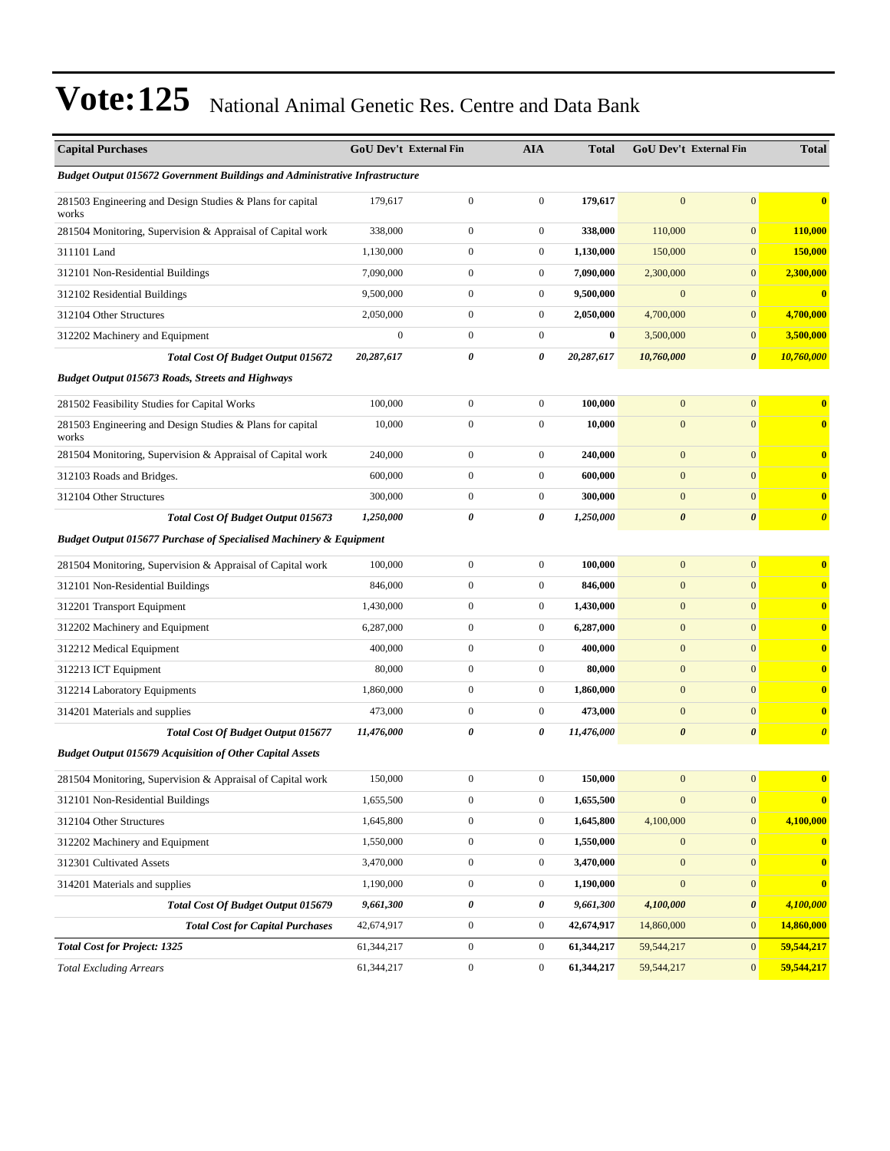| <b>Capital Purchases</b>                                                           |                  | <b>GoU Dev't External Fin</b> | <b>AIA</b>       | <b>Total</b> |                       | GoU Dev't External Fin | <b>Total</b>          |
|------------------------------------------------------------------------------------|------------------|-------------------------------|------------------|--------------|-----------------------|------------------------|-----------------------|
| <b>Budget Output 015672 Government Buildings and Administrative Infrastructure</b> |                  |                               |                  |              |                       |                        |                       |
| 281503 Engineering and Design Studies & Plans for capital<br>works                 | 179,617          | $\boldsymbol{0}$              | $\mathbf{0}$     | 179,617      | $\overline{0}$        | $\overline{0}$         | $\bf{0}$              |
| 281504 Monitoring, Supervision & Appraisal of Capital work                         | 338,000          | $\boldsymbol{0}$              | $\boldsymbol{0}$ | 338,000      | 110,000               | $\mathbf{0}$           | 110,000               |
| 311101 Land                                                                        | 1,130,000        | $\boldsymbol{0}$              | $\boldsymbol{0}$ | 1,130,000    | 150,000               | $\mathbf{0}$           | 150,000               |
| 312101 Non-Residential Buildings                                                   | 7,090,000        | $\boldsymbol{0}$              | $\boldsymbol{0}$ | 7,090,000    | 2,300,000             | $\boldsymbol{0}$       | 2,300,000             |
| 312102 Residential Buildings                                                       | 9,500,000        | $\boldsymbol{0}$              | $\boldsymbol{0}$ | 9,500,000    | $\boldsymbol{0}$      | $\overline{0}$         | $\bf{0}$              |
| 312104 Other Structures                                                            | 2,050,000        | $\boldsymbol{0}$              | $\boldsymbol{0}$ | 2,050,000    | 4,700,000             | $\mathbf{0}$           | 4,700,000             |
| 312202 Machinery and Equipment                                                     | $\boldsymbol{0}$ | $\boldsymbol{0}$              | $\boldsymbol{0}$ | $\bf{0}$     | 3,500,000             | $\overline{0}$         | 3,500,000             |
| Total Cost Of Budget Output 015672                                                 | 20,287,617       | 0                             | 0                | 20,287,617   | 10,760,000            | 0                      | 10,760,000            |
| <b>Budget Output 015673 Roads, Streets and Highways</b>                            |                  |                               |                  |              |                       |                        |                       |
| 281502 Feasibility Studies for Capital Works                                       | 100,000          | $\boldsymbol{0}$              | $\mathbf{0}$     | 100,000      | $\mathbf{0}$          | $\overline{0}$         | $\bf{0}$              |
| 281503 Engineering and Design Studies & Plans for capital<br>works                 | 10,000           | $\boldsymbol{0}$              | $\boldsymbol{0}$ | 10,000       | $\mathbf{0}$          | $\mathbf{0}$           | $\bf{0}$              |
| 281504 Monitoring, Supervision & Appraisal of Capital work                         | 240,000          | $\boldsymbol{0}$              | $\boldsymbol{0}$ | 240,000      | $\mathbf{0}$          | $\overline{0}$         | $\bf{0}$              |
| 312103 Roads and Bridges.                                                          | 600,000          | $\boldsymbol{0}$              | $\boldsymbol{0}$ | 600,000      | $\mathbf{0}$          | $\mathbf{0}$           | $\bf{0}$              |
| 312104 Other Structures                                                            | 300,000          | $\mathbf{0}$                  | $\boldsymbol{0}$ | 300,000      | $\mathbf{0}$          | $\overline{0}$         | $\bf{0}$              |
| Total Cost Of Budget Output 015673                                                 | 1,250,000        | 0                             | 0                | 1,250,000    | $\boldsymbol{\theta}$ | $\boldsymbol{\theta}$  | $\boldsymbol{\theta}$ |
| <b>Budget Output 015677 Purchase of Specialised Machinery &amp; Equipment</b>      |                  |                               |                  |              |                       |                        |                       |
| 281504 Monitoring, Supervision & Appraisal of Capital work                         | 100,000          | $\boldsymbol{0}$              | $\boldsymbol{0}$ | 100,000      | $\mathbf{0}$          | $\mathbf{0}$           | $\bf{0}$              |
| 312101 Non-Residential Buildings                                                   | 846,000          | $\boldsymbol{0}$              | $\boldsymbol{0}$ | 846,000      | $\mathbf{0}$          | $\overline{0}$         | $\bf{0}$              |
| 312201 Transport Equipment                                                         | 1,430,000        | $\boldsymbol{0}$              | $\boldsymbol{0}$ | 1,430,000    | $\boldsymbol{0}$      | $\mathbf{0}$           | $\bf{0}$              |
| 312202 Machinery and Equipment                                                     | 6,287,000        | $\boldsymbol{0}$              | $\boldsymbol{0}$ | 6,287,000    | $\mathbf{0}$          | $\mathbf{0}$           | $\bf{0}$              |
| 312212 Medical Equipment                                                           | 400,000          | $\boldsymbol{0}$              | $\boldsymbol{0}$ | 400,000      | $\mathbf{0}$          | $\overline{0}$         | $\bf{0}$              |
| 312213 ICT Equipment                                                               | 80,000           | $\boldsymbol{0}$              | $\boldsymbol{0}$ | 80,000       | $\mathbf{0}$          | $\overline{0}$         | $\bf{0}$              |
| 312214 Laboratory Equipments                                                       | 1,860,000        | $\boldsymbol{0}$              | $\boldsymbol{0}$ | 1,860,000    | $\mathbf{0}$          | $\overline{0}$         | $\bf{0}$              |
| 314201 Materials and supplies                                                      | 473,000          | $\boldsymbol{0}$              | $\boldsymbol{0}$ | 473,000      | $\boldsymbol{0}$      | $\mathbf{0}$           | $\bf{0}$              |
| Total Cost Of Budget Output 015677                                                 | 11,476,000       | 0                             | 0                | 11,476,000   | $\boldsymbol{\theta}$ | $\boldsymbol{\theta}$  | $\boldsymbol{\theta}$ |
| <b>Budget Output 015679 Acquisition of Other Capital Assets</b>                    |                  |                               |                  |              |                       |                        |                       |
| 281504 Monitoring, Supervision & Appraisal of Capital work                         | 150,000          | $\boldsymbol{0}$              | $\boldsymbol{0}$ | 150,000      | $\mathbf{0}$          | $\overline{0}$         | $\bf{0}$              |
| 312101 Non-Residential Buildings                                                   | 1,655,500        | $\boldsymbol{0}$              | $\mathbf{0}$     | 1,655,500    | $\mathbf{0}$          | $\mathbf{0}$           | $\bf{0}$              |
| 312104 Other Structures                                                            | 1,645,800        | $\boldsymbol{0}$              | $\boldsymbol{0}$ | 1,645,800    | 4,100,000             | $\overline{0}$         | 4,100,000             |
| 312202 Machinery and Equipment                                                     | 1,550,000        | $\boldsymbol{0}$              | $\boldsymbol{0}$ | 1,550,000    | $\boldsymbol{0}$      | $\mathbf{0}$           | $\mathbf{0}$          |
| 312301 Cultivated Assets                                                           | 3,470,000        | $\boldsymbol{0}$              | $\boldsymbol{0}$ | 3,470,000    | $\mathbf{0}$          | $\overline{0}$         | $\bf{0}$              |
| 314201 Materials and supplies                                                      | 1,190,000        | $\boldsymbol{0}$              | $\boldsymbol{0}$ | 1,190,000    | $\mathbf{0}$          | $\overline{0}$         | $\bf{0}$              |
| Total Cost Of Budget Output 015679                                                 | 9,661,300        | $\pmb{\theta}$                | 0                | 9,661,300    | 4,100,000             | $\boldsymbol{\theta}$  | 4,100,000             |
| <b>Total Cost for Capital Purchases</b>                                            | 42,674,917       | $\boldsymbol{0}$              | $\boldsymbol{0}$ | 42,674,917   | 14,860,000            | $\overline{0}$         | 14,860,000            |
| <b>Total Cost for Project: 1325</b>                                                | 61,344,217       | $\boldsymbol{0}$              | $\boldsymbol{0}$ | 61,344,217   | 59,544,217            | $\mathbf{0}$           | 59,544,217            |
| <b>Total Excluding Arrears</b>                                                     | 61,344,217       | $\boldsymbol{0}$              | $\boldsymbol{0}$ | 61,344,217   | 59,544,217            | $\overline{0}$         | 59,544,217            |